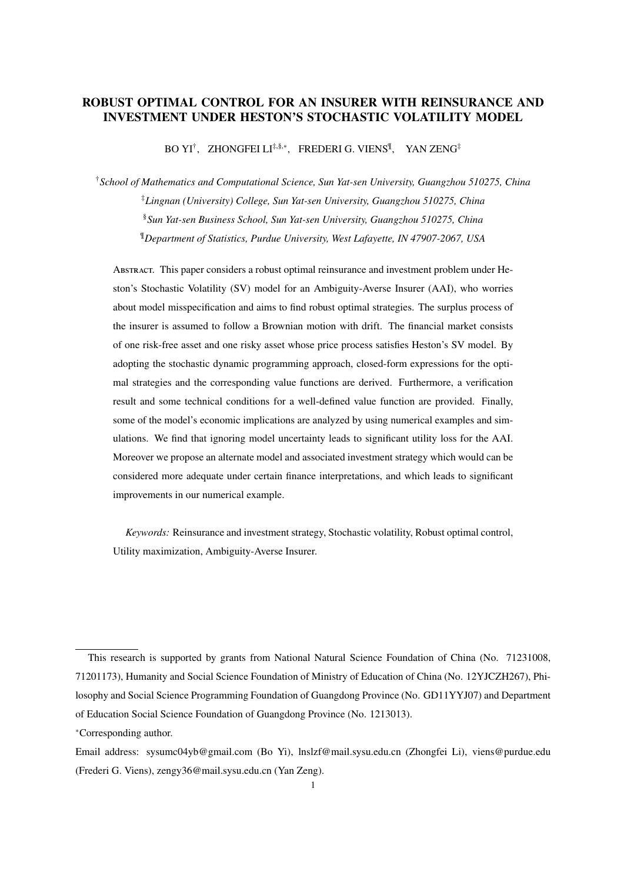# ROBUST OPTIMAL CONTROL FOR AN INSURER WITH REINSURANCE AND INVESTMENT UNDER HESTON'S STOCHASTIC VOLATILITY MODEL

BO YI<sup>†</sup>, ZHONGFEI LI<sup>‡,§,∗</sup>, FREDERI G. VIENS<sup>¶</sup>, YAN ZENG<sup>‡</sup>

†*School of Mathematics and Computational Science, Sun Yat-sen University, Guangzhou 510275, China* ‡*Lingnan (University) College, Sun Yat-sen University, Guangzhou 510275, China* §*Sun Yat-sen Business School, Sun Yat-sen University, Guangzhou 510275, China* ¶*Department of Statistics, Purdue University, West Lafayette, IN 47907-2067, USA*

Abstract. This paper considers a robust optimal reinsurance and investment problem under Heston's Stochastic Volatility (SV) model for an Ambiguity-Averse Insurer (AAI), who worries about model misspecification and aims to find robust optimal strategies. The surplus process of the insurer is assumed to follow a Brownian motion with drift. The financial market consists of one risk-free asset and one risky asset whose price process satisfies Heston's SV model. By adopting the stochastic dynamic programming approach, closed-form expressions for the optimal strategies and the corresponding value functions are derived. Furthermore, a verification result and some technical conditions for a well-defined value function are provided. Finally, some of the model's economic implications are analyzed by using numerical examples and simulations. We find that ignoring model uncertainty leads to significant utility loss for the AAI. Moreover we propose an alternate model and associated investment strategy which would can be considered more adequate under certain finance interpretations, and which leads to significant improvements in our numerical example.

*Keywords:* Reinsurance and investment strategy, Stochastic volatility, Robust optimal control, Utility maximization, Ambiguity-Averse Insurer.

This research is supported by grants from National Natural Science Foundation of China (No. 71231008, 71201173), Humanity and Social Science Foundation of Ministry of Education of China (No. 12YJCZH267), Philosophy and Social Science Programming Foundation of Guangdong Province (No. GD11YYJ07) and Department of Education Social Science Foundation of Guangdong Province (No. 1213013).

<sup>∗</sup>Corresponding author.

Email address: sysumc04yb@gmail.com (Bo Yi), lnslzf@mail.sysu.edu.cn (Zhongfei Li), viens@purdue.edu (Frederi G. Viens), zengy36@mail.sysu.edu.cn (Yan Zeng).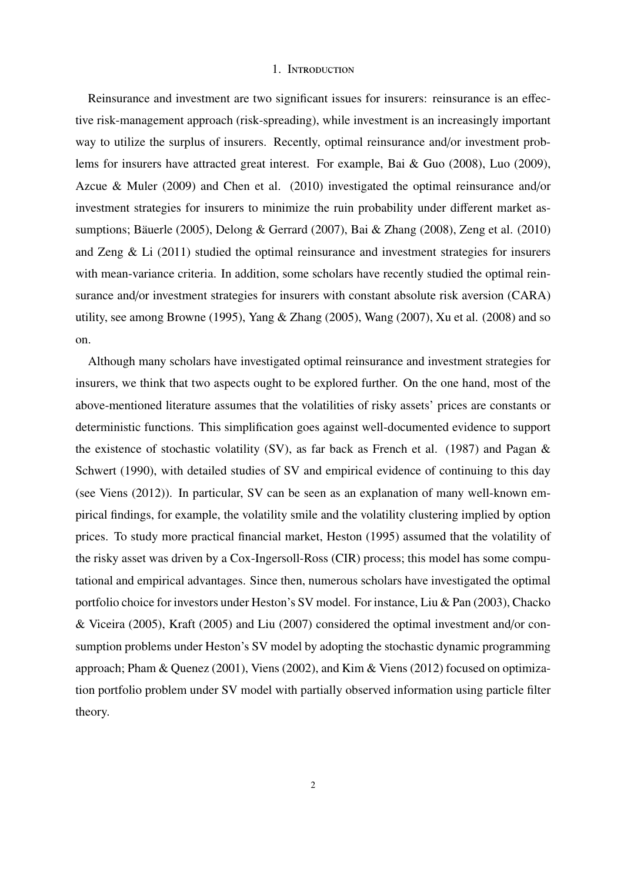### 1. Introduction

Reinsurance and investment are two significant issues for insurers: reinsurance is an effective risk-management approach (risk-spreading), while investment is an increasingly important way to utilize the surplus of insurers. Recently, optimal reinsurance and/or investment problems for insurers have attracted great interest. For example, Bai & Guo (2008), Luo (2009), Azcue & Muler (2009) and Chen et al. (2010) investigated the optimal reinsurance and/or investment strategies for insurers to minimize the ruin probability under different market assumptions; Bäuerle (2005), Delong & Gerrard (2007), Bai & Zhang (2008), Zeng et al. (2010) and Zeng & Li (2011) studied the optimal reinsurance and investment strategies for insurers with mean-variance criteria. In addition, some scholars have recently studied the optimal reinsurance and/or investment strategies for insurers with constant absolute risk aversion (CARA) utility, see among Browne (1995), Yang & Zhang (2005), Wang (2007), Xu et al. (2008) and so on.

Although many scholars have investigated optimal reinsurance and investment strategies for insurers, we think that two aspects ought to be explored further. On the one hand, most of the above-mentioned literature assumes that the volatilities of risky assets' prices are constants or deterministic functions. This simplification goes against well-documented evidence to support the existence of stochastic volatility (SV), as far back as French et al. (1987) and Pagan  $\&$ Schwert (1990), with detailed studies of SV and empirical evidence of continuing to this day (see Viens (2012)). In particular, SV can be seen as an explanation of many well-known empirical findings, for example, the volatility smile and the volatility clustering implied by option prices. To study more practical financial market, Heston (1995) assumed that the volatility of the risky asset was driven by a Cox-Ingersoll-Ross (CIR) process; this model has some computational and empirical advantages. Since then, numerous scholars have investigated the optimal portfolio choice for investors under Heston's SV model. For instance, Liu & Pan (2003), Chacko & Viceira (2005), Kraft (2005) and Liu (2007) considered the optimal investment and/or consumption problems under Heston's SV model by adopting the stochastic dynamic programming approach; Pham & Quenez (2001), Viens (2002), and Kim & Viens (2012) focused on optimization portfolio problem under SV model with partially observed information using particle filter theory.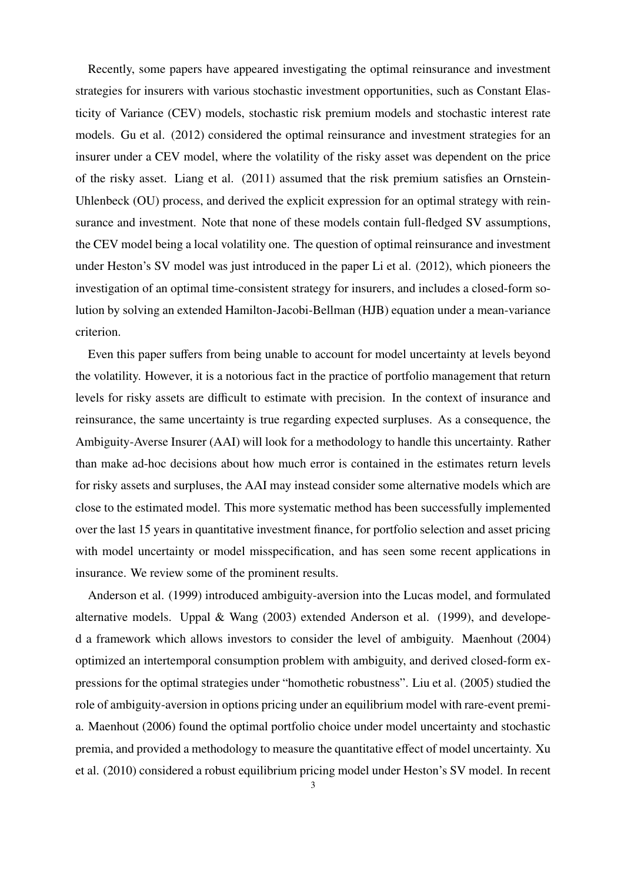Recently, some papers have appeared investigating the optimal reinsurance and investment strategies for insurers with various stochastic investment opportunities, such as Constant Elasticity of Variance (CEV) models, stochastic risk premium models and stochastic interest rate models. Gu et al. (2012) considered the optimal reinsurance and investment strategies for an insurer under a CEV model, where the volatility of the risky asset was dependent on the price of the risky asset. Liang et al. (2011) assumed that the risk premium satisfies an Ornstein-Uhlenbeck (OU) process, and derived the explicit expression for an optimal strategy with reinsurance and investment. Note that none of these models contain full-fledged SV assumptions, the CEV model being a local volatility one. The question of optimal reinsurance and investment under Heston's SV model was just introduced in the paper Li et al. (2012), which pioneers the investigation of an optimal time-consistent strategy for insurers, and includes a closed-form solution by solving an extended Hamilton-Jacobi-Bellman (HJB) equation under a mean-variance criterion.

Even this paper suffers from being unable to account for model uncertainty at levels beyond the volatility. However, it is a notorious fact in the practice of portfolio management that return levels for risky assets are difficult to estimate with precision. In the context of insurance and reinsurance, the same uncertainty is true regarding expected surpluses. As a consequence, the Ambiguity-Averse Insurer (AAI) will look for a methodology to handle this uncertainty. Rather than make ad-hoc decisions about how much error is contained in the estimates return levels for risky assets and surpluses, the AAI may instead consider some alternative models which are close to the estimated model. This more systematic method has been successfully implemented over the last 15 years in quantitative investment finance, for portfolio selection and asset pricing with model uncertainty or model misspecification, and has seen some recent applications in insurance. We review some of the prominent results.

Anderson et al. (1999) introduced ambiguity-aversion into the Lucas model, and formulated alternative models. Uppal & Wang (2003) extended Anderson et al. (1999), and developed a framework which allows investors to consider the level of ambiguity. Maenhout (2004) optimized an intertemporal consumption problem with ambiguity, and derived closed-form expressions for the optimal strategies under "homothetic robustness". Liu et al. (2005) studied the role of ambiguity-aversion in options pricing under an equilibrium model with rare-event premia. Maenhout (2006) found the optimal portfolio choice under model uncertainty and stochastic premia, and provided a methodology to measure the quantitative effect of model uncertainty. Xu et al. (2010) considered a robust equilibrium pricing model under Heston's SV model. In recent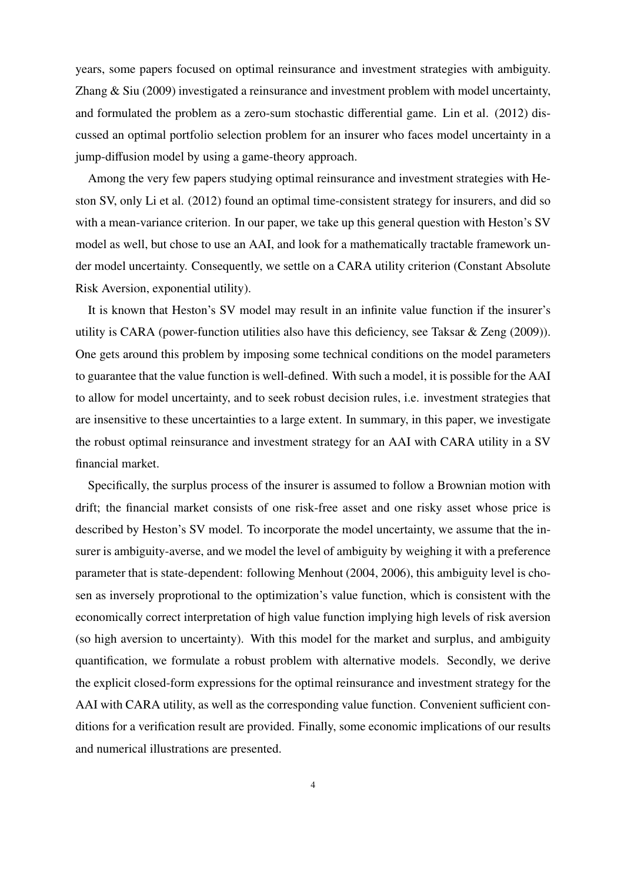years, some papers focused on optimal reinsurance and investment strategies with ambiguity. Zhang & Siu (2009) investigated a reinsurance and investment problem with model uncertainty, and formulated the problem as a zero-sum stochastic differential game. Lin et al. (2012) discussed an optimal portfolio selection problem for an insurer who faces model uncertainty in a jump-diffusion model by using a game-theory approach.

Among the very few papers studying optimal reinsurance and investment strategies with Heston SV, only Li et al. (2012) found an optimal time-consistent strategy for insurers, and did so with a mean-variance criterion. In our paper, we take up this general question with Heston's SV model as well, but chose to use an AAI, and look for a mathematically tractable framework under model uncertainty. Consequently, we settle on a CARA utility criterion (Constant Absolute Risk Aversion, exponential utility).

It is known that Heston's SV model may result in an infinite value function if the insurer's utility is CARA (power-function utilities also have this deficiency, see Taksar & Zeng (2009)). One gets around this problem by imposing some technical conditions on the model parameters to guarantee that the value function is well-defined. With such a model, it is possible for the AAI to allow for model uncertainty, and to seek robust decision rules, i.e. investment strategies that are insensitive to these uncertainties to a large extent. In summary, in this paper, we investigate the robust optimal reinsurance and investment strategy for an AAI with CARA utility in a SV financial market.

Specifically, the surplus process of the insurer is assumed to follow a Brownian motion with drift; the financial market consists of one risk-free asset and one risky asset whose price is described by Heston's SV model. To incorporate the model uncertainty, we assume that the insurer is ambiguity-averse, and we model the level of ambiguity by weighing it with a preference parameter that is state-dependent: following Menhout (2004, 2006), this ambiguity level is chosen as inversely proprotional to the optimization's value function, which is consistent with the economically correct interpretation of high value function implying high levels of risk aversion (so high aversion to uncertainty). With this model for the market and surplus, and ambiguity quantification, we formulate a robust problem with alternative models. Secondly, we derive the explicit closed-form expressions for the optimal reinsurance and investment strategy for the AAI with CARA utility, as well as the corresponding value function. Convenient sufficient conditions for a verification result are provided. Finally, some economic implications of our results and numerical illustrations are presented.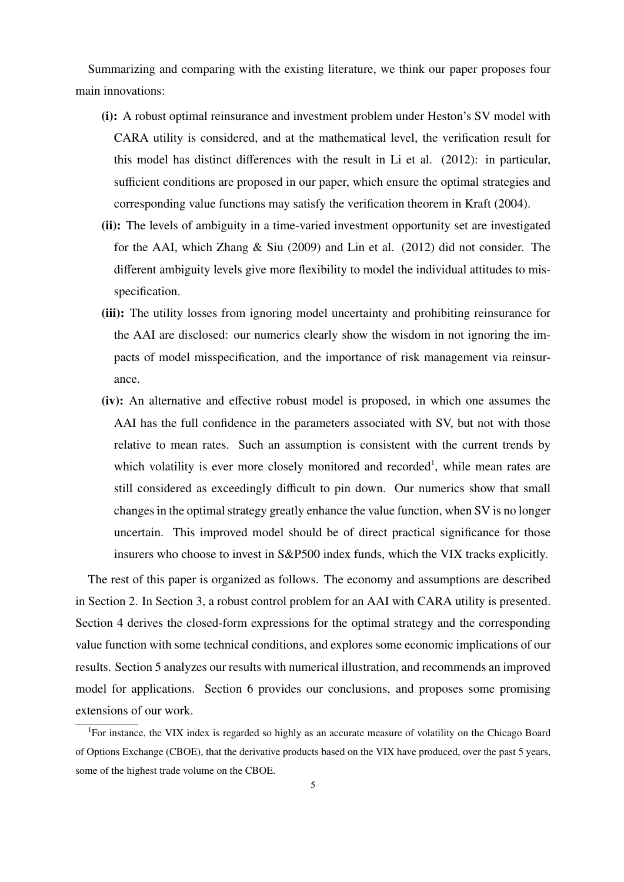Summarizing and comparing with the existing literature, we think our paper proposes four main innovations:

- (i): A robust optimal reinsurance and investment problem under Heston's SV model with CARA utility is considered, and at the mathematical level, the verification result for this model has distinct differences with the result in Li et al. (2012): in particular, sufficient conditions are proposed in our paper, which ensure the optimal strategies and corresponding value functions may satisfy the verification theorem in Kraft (2004).
- (ii): The levels of ambiguity in a time-varied investment opportunity set are investigated for the AAI, which Zhang & Siu (2009) and Lin et al. (2012) did not consider. The different ambiguity levels give more flexibility to model the individual attitudes to misspecification.
- (iii): The utility losses from ignoring model uncertainty and prohibiting reinsurance for the AAI are disclosed: our numerics clearly show the wisdom in not ignoring the impacts of model misspecification, and the importance of risk management via reinsurance.
- (iv): An alternative and effective robust model is proposed, in which one assumes the AAI has the full confidence in the parameters associated with SV, but not with those relative to mean rates. Such an assumption is consistent with the current trends by which volatility is ever more closely monitored and recorded<sup>1</sup>, while mean rates are still considered as exceedingly difficult to pin down. Our numerics show that small changes in the optimal strategy greatly enhance the value function, when SV is no longer uncertain. This improved model should be of direct practical significance for those insurers who choose to invest in S&P500 index funds, which the VIX tracks explicitly.

The rest of this paper is organized as follows. The economy and assumptions are described in Section 2. In Section 3, a robust control problem for an AAI with CARA utility is presented. Section 4 derives the closed-form expressions for the optimal strategy and the corresponding value function with some technical conditions, and explores some economic implications of our results. Section 5 analyzes our results with numerical illustration, and recommends an improved model for applications. Section 6 provides our conclusions, and proposes some promising extensions of our work.

<sup>1</sup>For instance, the VIX index is regarded so highly as an accurate measure of volatility on the Chicago Board of Options Exchange (CBOE), that the derivative products based on the VIX have produced, over the past 5 years, some of the highest trade volume on the CBOE.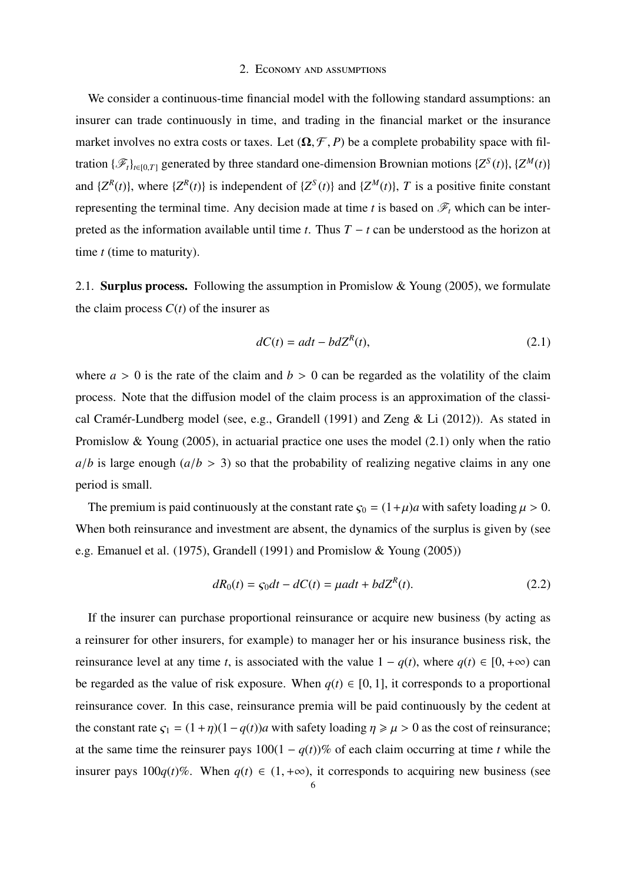### 2. Economy and assumptions

We consider a continuous-time financial model with the following standard assumptions: an insurer can trade continuously in time, and trading in the financial market or the insurance market involves no extra costs or taxes. Let  $(\Omega, \mathcal{F}, P)$  be a complete probability space with filtration { $\mathscr{F}_t$ }<sub>*t*∈[0,*T*]</sub> generated by three standard one-dimension Brownian motions {*Z*<sup>S</sup>(*t*)}, {*Z*<sup>*M*</sup>(*t*)} and  $\{Z^{R}(t)\}\$ , where  $\{Z^{R}(t)\}\$ is independent of  $\{Z^{S}(t)\}\$  and  $\{Z^{M}(t)\}\$ , *T* is a positive finite constant representing the terminal time. Any decision made at time *t* is based on  $\mathscr{F}_t$  which can be interpreted as the information available until time *t*. Thus *T* − *t* can be understood as the horizon at time *t* (time to maturity).

2.1. Surplus process. Following the assumption in Promislow & Young (2005), we formulate the claim process  $C(t)$  of the insurer as

$$
dC(t) = adt - bdZ^{R}(t),
$$
\n(2.1)

where  $a > 0$  is the rate of the claim and  $b > 0$  can be regarded as the volatility of the claim process. Note that the diffusion model of the claim process is an approximation of the classical Cramer-Lundberg model (see, e.g., Grandell (1991) and Zeng & Li (2012)). As stated in ´ Promislow & Young (2005), in actuarial practice one uses the model (2.1) only when the ratio  $a/b$  is large enough  $(a/b > 3)$  so that the probability of realizing negative claims in any one period is small.

The premium is paid continuously at the constant rate  $\varsigma_0 = (1+\mu)a$  with safety loading  $\mu > 0$ . When both reinsurance and investment are absent, the dynamics of the surplus is given by (see e.g. Emanuel et al. (1975), Grandell (1991) and Promislow & Young (2005))

$$
dR_0(t) = \zeta_0 dt - dC(t) = \mu a dt + b dZ^R(t).
$$
 (2.2)

If the insurer can purchase proportional reinsurance or acquire new business (by acting as a reinsurer for other insurers, for example) to manager her or his insurance business risk, the reinsurance level at any time *t*, is associated with the value  $1 - q(t)$ , where  $q(t) \in [0, +\infty)$  can be regarded as the value of risk exposure. When  $q(t) \in [0, 1]$ , it corresponds to a proportional reinsurance cover. In this case, reinsurance premia will be paid continuously by the cedent at the constant rate  $\varsigma_1 = (1 + \eta)(1 - q(t))a$  with safety loading  $\eta \ge \mu > 0$  as the cost of reinsurance; at the same time the reinsurer pays  $100(1 - q(t))$ % of each claim occurring at time *t* while the insurer pays  $100q(t)\%$ . When  $q(t) \in (1, +\infty)$ , it corresponds to acquiring new business (see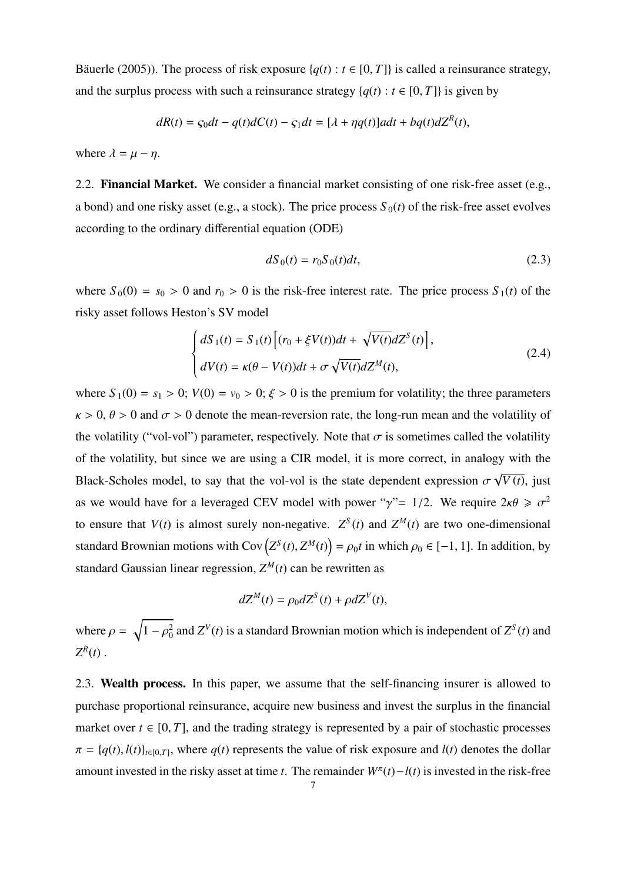Bäuerle (2005)). The process of risk exposure  $\{q(t): t \in [0, T]\}$  is called a reinsurance strategy, and the surplus process with such a reinsurance strategy  ${q(t) : t \in [0, T]}$  is given by

$$
dR(t) = \varsigma_0 dt - q(t)dC(t) - \varsigma_1 dt = [\lambda + \eta q(t)]adt + bq(t)dZ^{R}(t),
$$

where  $\lambda = \mu - \eta$ .

2.2. Financial Market. We consider a financial market consisting of one risk-free asset (e.g., a bond) and one risky asset (e.g., a stock). The price process  $S_0(t)$  of the risk-free asset evolves according to the ordinary differential equation (ODE)

$$
dS_0(t) = r_0 S_0(t) dt,
$$
\n(2.3)

where  $S_0(0) = s_0 > 0$  and  $r_0 > 0$  is the risk-free interest rate. The price process  $S_1(t)$  of the risky asset follows Heston's SV model

$$
\begin{cases}\ndS_1(t) = S_1(t) \left[ (r_0 + \xi V(t))dt + \sqrt{V(t)}dZ^S(t) \right], \\
dV(t) = \kappa(\theta - V(t))dt + \sigma \sqrt{V(t)}dZ^M(t),\n\end{cases}
$$
\n(2.4)

where  $S_1(0) = s_1 > 0$ ;  $V(0) = v_0 > 0$ ;  $\xi > 0$  is the premium for volatility; the three parameters  $\kappa > 0$ ,  $\theta > 0$  and  $\sigma > 0$  denote the mean-reversion rate, the long-run mean and the volatility of the volatility ("vol-vol") parameter, respectively. Note that  $\sigma$  is sometimes called the volatility of the volatility, but since we are using a CIR model, it is more correct, in analogy with the Black-Scholes model, to say that the vol-vol is the state dependent expression  $\sigma$ √ *V* (*t*), just as we would have for a leveraged CEV model with power " $\gamma$ " = 1/2. We require  $2\kappa\theta \ge \sigma^2$ to ensure that  $V(t)$  is almost surely non-negative.  $Z^{S}(t)$  and  $Z^{M}(t)$  are two one-dimensional standard Brownian motions with  $Cov(Z^S(t), Z^M(t)) = \rho_0 t$  in which  $\rho_0 \in [-1, 1]$ . In addition, by standard Gaussian linear regression,  $Z^M(t)$  can be rewritten as

$$
dZ^{M}(t) = \rho_0 dZ^{S}(t) + \rho dZ^{V}(t),
$$

where  $\rho = \sqrt{1 - \rho_0^2}$  $\frac{1}{2}$  and  $Z^V(t)$  is a standard Brownian motion which is independent of  $Z^S(t)$  and  $Z^R(t)$ .

2.3. Wealth process. In this paper, we assume that the self-financing insurer is allowed to purchase proportional reinsurance, acquire new business and invest the surplus in the financial market over  $t \in [0, T]$ , and the trading strategy is represented by a pair of stochastic processes  $\pi = \{q(t), l(t)\}_{t \in [0,T]},$  where  $q(t)$  represents the value of risk exposure and  $l(t)$  denotes the dollar amount invested in the risky asset at time *t*. The remainder  $W^{\pi}(t) - l(t)$  is invested in the risk-free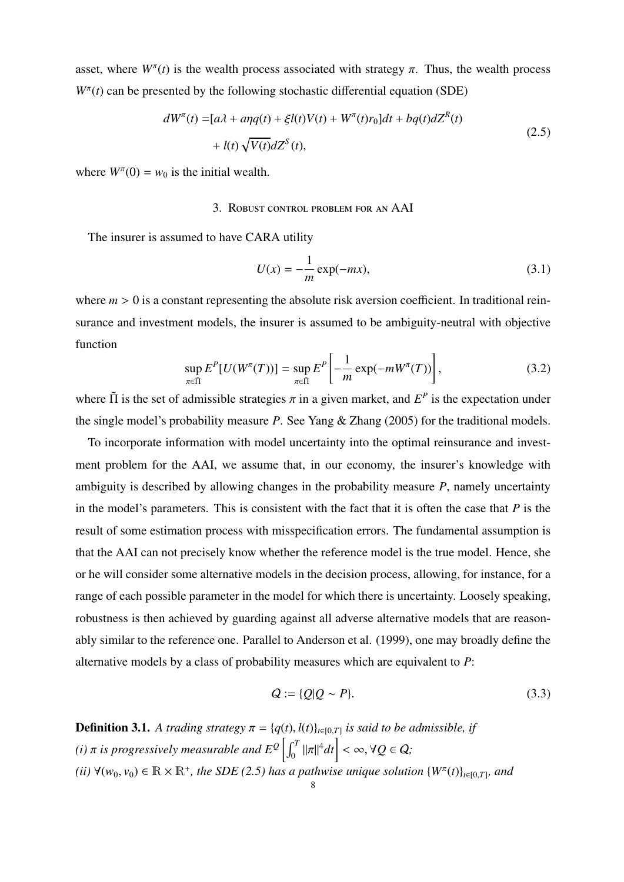asset, where  $W^{\pi}(t)$  is the wealth process associated with strategy  $\pi$ . Thus, the wealth process  $W^{\pi}(t)$  can be presented by the following stochastic differential equation (SDE)

$$
dW^{\pi}(t) = [a\lambda + a\eta q(t) + \xi l(t)V(t) + W^{\pi}(t)r_0]dt + bq(t)dZ^{R}(t)
$$
  
+ 
$$
l(t)\sqrt{V(t)}dZ^{S}(t),
$$
 (2.5)

where  $W^{\pi}(0) = w_0$  is the initial wealth.

## 3. Robust control problem for an AAI

The insurer is assumed to have CARA utility

$$
U(x) = -\frac{1}{m} \exp(-mx),
$$
 (3.1)

where  $m > 0$  is a constant representing the absolute risk aversion coefficient. In traditional reinsurance and investment models, the insurer is assumed to be ambiguity-neutral with objective function

$$
\sup_{\pi \in \tilde{\Pi}} E^P[U(W^{\pi}(T))] = \sup_{\pi \in \tilde{\Pi}} E^P\left[-\frac{1}{m}\exp(-mW^{\pi}(T))\right],\tag{3.2}
$$

where  $\tilde{\Pi}$  is the set of admissible strategies  $\pi$  in a given market, and  $E^P$  is the expectation under the single model's probability measure *P*. See Yang & Zhang (2005) for the traditional models.

To incorporate information with model uncertainty into the optimal reinsurance and investment problem for the AAI, we assume that, in our economy, the insurer's knowledge with ambiguity is described by allowing changes in the probability measure *P*, namely uncertainty in the model's parameters. This is consistent with the fact that it is often the case that *P* is the result of some estimation process with misspecification errors. The fundamental assumption is that the AAI can not precisely know whether the reference model is the true model. Hence, she or he will consider some alternative models in the decision process, allowing, for instance, for a range of each possible parameter in the model for which there is uncertainty. Loosely speaking, robustness is then achieved by guarding against all adverse alternative models that are reasonably similar to the reference one. Parallel to Anderson et al. (1999), one may broadly define the alternative models by a class of probability measures which are equivalent to *P*:

$$
Q := \{Q|Q \sim P\}.\tag{3.3}
$$

**Definition 3.1.** A trading strategy  $\pi = \{q(t), l(t)\}_{t \in [0,T]}$  is said to be admissible, if *(i)*  $\pi$  *is progressively measurable and*  $E^{\mathcal{Q}}\left[\int_0^T ||\pi||^4 dt\right] < \infty, \forall \mathcal{Q} \in \mathcal{Q}$ ; *(ii)*  $\forall$ (*w*<sub>0</sub>, *v*<sub>0</sub>) ∈ R × R<sup>+</sup>, the SDE (2.5) has a pathwise unique solution { $W^{\pi}(t)$ }<sub>*t*∈[0,*T*]</sub>, and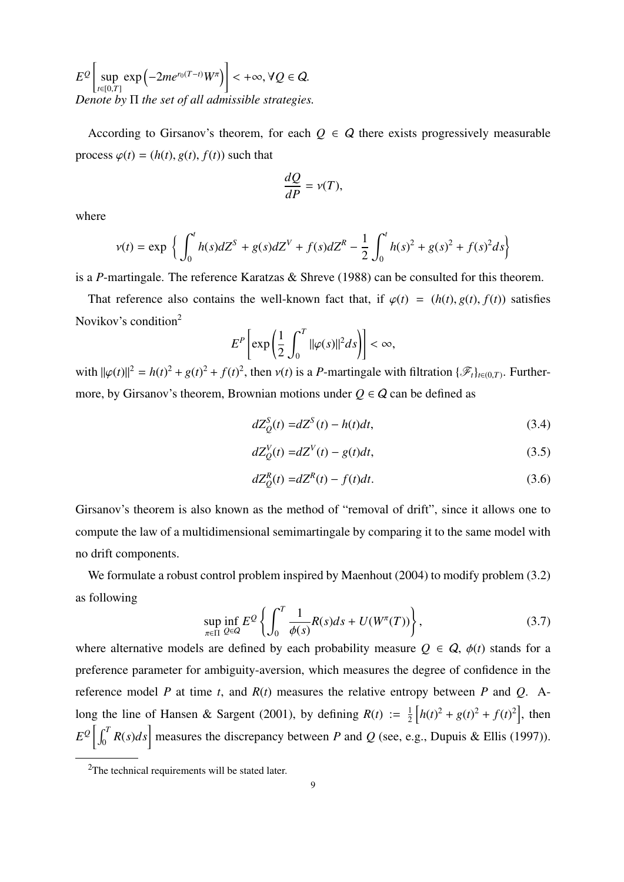$$
E^{Q}\left[\sup_{t\in[0,T]}\exp\left(-2me^{r_0(T-t)}W^{\pi}\right)\right]<+\infty, \forall Q\in Q.
$$
  
Denote by  $\Pi$  the set of all admissible strategies.

According to Girsanov's theorem, for each  $Q \in Q$  there exists progressively measurable process  $\varphi(t) = (h(t), g(t), f(t))$  such that

$$
\frac{dQ}{dP} = v(T),
$$

where

$$
v(t) = \exp \left\{ \int_0^t h(s) dZ^S + g(s) dZ^V + f(s) dZ^R - \frac{1}{2} \int_0^t h(s)^2 + g(s)^2 + f(s)^2 ds \right\}
$$

is a *P*-martingale. The reference Karatzas & Shreve (1988) can be consulted for this theorem.

That reference also contains the well-known fact that, if  $\varphi(t) = (h(t), g(t), f(t))$  satisfies Novikov's condition<sup>2</sup>

$$
E^{P}\left[\exp\left(\frac{1}{2}\int_{0}^{T}\|\varphi(s)\|^{2}ds\right)\right]<\infty,
$$

with  $\|\varphi(t)\|^2 = h(t)^2 + g(t)^2 + f(t)^2$ , then  $v(t)$  is a *P*-martingale with filtration { $\mathscr{F}_t$ }<sub>*t*∈(0,*T*)</sub>. Furthermore, by Girsanov's theorem, Brownian motions under  $Q \in \mathbb{Q}$  can be defined as

$$
dZ_Q^S(t) = dZ^S(t) - h(t)dt,\t\t(3.4)
$$

$$
dZ_Q^V(t) = dZ^V(t) - g(t)dt,\t\t(3.5)
$$

$$
dZ_Q^R(t) = dZ^R(t) - f(t)dt.
$$
\n(3.6)

Girsanov's theorem is also known as the method of "removal of drift", since it allows one to compute the law of a multidimensional semimartingale by comparing it to the same model with no drift components.

We formulate a robust control problem inspired by Maenhout (2004) to modify problem (3.2) as following

$$
\sup_{\pi \in \Pi} \inf_{Q \in Q} E^Q \left\{ \int_0^T \frac{1}{\phi(s)} R(s) ds + U(W^{\pi}(T)) \right\},\tag{3.7}
$$

where alternative models are defined by each probability measure  $Q \in Q$ ,  $\phi(t)$  stands for a preference parameter for ambiguity-aversion, which measures the degree of confidence in the reference model *P* at time *t*, and *R*(*t*) measures the relative entropy between *P* and *Q*. Along the line of Hansen & Sargent (2001), by defining  $R(t) := \frac{1}{2}$  $\frac{1}{2}$  $\left[ h(t)^2 + g(t)^2 + f(t)^2 \right]$ , then  $E^Q\left[\int_0^T R(s)ds\right]$  measures the discrepancy between *P* and *Q* (see, e.g., Dupuis & Ellis (1997)).

<sup>&</sup>lt;sup>2</sup>The technical requirements will be stated later.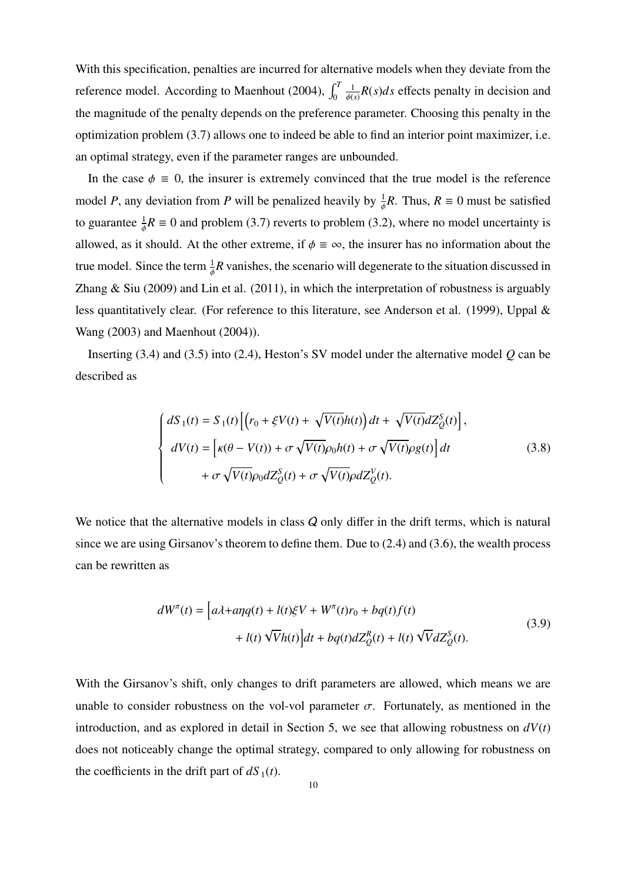With this specification, penalties are incurred for alternative models when they deviate from the reference model. According to Maenhout (2004),  $\int_0^7$ 1  $\frac{1}{\phi(s)}R(s)ds$  effects penalty in decision and the magnitude of the penalty depends on the preference parameter. Choosing this penalty in the optimization problem (3.7) allows one to indeed be able to find an interior point maximizer, i.e. an optimal strategy, even if the parameter ranges are unbounded.

In the case  $\phi \equiv 0$ , the insurer is extremely convinced that the true model is the reference model *P*, any deviation from *P* will be penalized heavily by  $\frac{1}{\phi}R$ . Thus,  $R \equiv 0$  must be satisfied to guarantee  $\frac{1}{\phi}R \equiv 0$  and problem (3.7) reverts to problem (3.2), where no model uncertainty is allowed, as it should. At the other extreme, if  $\phi \equiv \infty$ , the insurer has no information about the true model. Since the term  $\frac{1}{\phi}R$  vanishes, the scenario will degenerate to the situation discussed in Zhang  $\&$  Siu (2009) and Lin et al. (2011), in which the interpretation of robustness is arguably less quantitatively clear. (For reference to this literature, see Anderson et al. (1999), Uppal & Wang (2003) and Maenhout (2004)).

Inserting (3.4) and (3.5) into (2.4), Heston's SV model under the alternative model *Q* can be described as

$$
\begin{cases}\ndS_1(t) = S_1(t) \left[ \left( r_0 + \xi V(t) + \sqrt{V(t)} h(t) \right) dt + \sqrt{V(t)} dZ_2^S(t) \right], \\
dV(t) = \left[ \kappa(\theta - V(t)) + \sigma \sqrt{V(t)} \rho_0 h(t) + \sigma \sqrt{V(t)} \rho g(t) \right] dt \\
+ \sigma \sqrt{V(t)} \rho_0 dZ_2^S(t) + \sigma \sqrt{V(t)} \rho dZ_2^V(t).\n\end{cases} \tag{3.8}
$$

We notice that the alternative models in class  $Q$  only differ in the drift terms, which is natural since we are using Girsanov's theorem to define them. Due to (2.4) and (3.6), the wealth process can be rewritten as

$$
dW^{\pi}(t) = \left[a\lambda + a\eta q(t) + l(t)\xi V + W^{\pi}(t)r_0 + bq(t)f(t) + l(t)\sqrt{V}h(t)\right]dt + bq(t)dZ_0^R(t) + l(t)\sqrt{V}dZ_0^S(t).
$$
\n(3.9)

With the Girsanov's shift, only changes to drift parameters are allowed, which means we are unable to consider robustness on the vol-vol parameter  $\sigma$ . Fortunately, as mentioned in the introduction, and as explored in detail in Section 5, we see that allowing robustness on  $dV(t)$ does not noticeably change the optimal strategy, compared to only allowing for robustness on the coefficients in the drift part of  $dS_1(t)$ .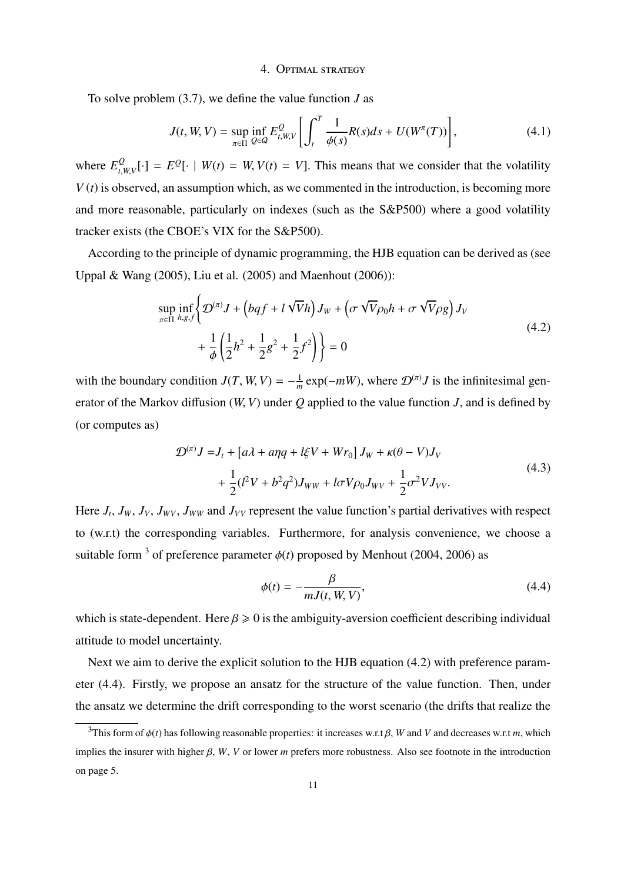### 4. Optimal strategy

To solve problem (3.7), we define the value function *J* as

$$
J(t, W, V) = \sup_{\pi \in \Pi} \inf_{Q \in Q} E_{t, W, V}^{Q} \left[ \int_{t}^{T} \frac{1}{\phi(s)} R(s) ds + U(W^{\pi}(T)) \right],
$$
 (4.1)

where  $E_{t}^{\mathcal{Q}}$  $\frac{Q}{L_t W_t V}$ [·] =  $E^Q$ [· | *W*(*t*) = *W*, *V*(*t*) = *V*]. This means that we consider that the volatility *V* (*t*) is observed, an assumption which, as we commented in the introduction, is becoming more and more reasonable, particularly on indexes (such as the S&P500) where a good volatility tracker exists (the CBOE's VIX for the S&P500).

According to the principle of dynamic programming, the HJB equation can be derived as (see Uppal & Wang (2005), Liu et al. (2005) and Maenhout (2006)):

$$
\sup_{\pi \in \Pi} \inf_{h,g,f} \left\{ \mathcal{D}^{(\pi)} J + \left( bqf + l\sqrt{V}h \right) J_W + \left( \sigma \sqrt{V} \rho_0 h + \sigma \sqrt{V} \rho g \right) J_V \right. \left. + \frac{1}{\phi} \left( \frac{1}{2} h^2 + \frac{1}{2} g^2 + \frac{1}{2} f^2 \right) \right\} = 0 \tag{4.2}
$$

with the boundary condition  $J(T, W, V) = -\frac{1}{m}$  $\frac{1}{m}$  exp( $-mW$ ), where  $\mathcal{D}^{(\pi)}J$  is the infinitesimal generator of the Markov diffusion (*W*, *V*) under *Q* applied to the value function *J*, and is defined by (or computes as)

$$
\mathcal{D}^{(\pi)}J = J_t + [a\lambda + a\eta q + l\xi V + Wr_0]J_W + \kappa(\theta - V)J_V + \frac{1}{2}(l^2V + b^2q^2)J_{WW} + l\sigma V\rho_0J_{WV} + \frac{1}{2}\sigma^2 VJ_{VV}.
$$
\n(4.3)

Here  $J_t$ ,  $J_W$ ,  $J_V$ ,  $J_{WV}$ ,  $J_{WW}$  and  $J_{VV}$  represent the value function's partial derivatives with respect to (w.r.t) the corresponding variables. Furthermore, for analysis convenience, we choose a suitable form  $3$  of preference parameter  $\phi(t)$  proposed by Menhout (2004, 2006) as

$$
\phi(t) = -\frac{\beta}{mJ(t, W, V)},\tag{4.4}
$$

which is state-dependent. Here  $\beta \ge 0$  is the ambiguity-aversion coefficient describing individual attitude to model uncertainty.

Next we aim to derive the explicit solution to the HJB equation (4.2) with preference parameter (4.4). Firstly, we propose an ansatz for the structure of the value function. Then, under the ansatz we determine the drift corresponding to the worst scenario (the drifts that realize the

<sup>&</sup>lt;sup>3</sup>This form of  $\phi(t)$  has following reasonable properties: it increases w.r.t  $\beta$ , *W* and *V* and decreases w.r.t *m*, which implies the insurer with higher β, *W*, *V* or lower *m* prefers more robustness. Also see footnote in the introduction on page 5.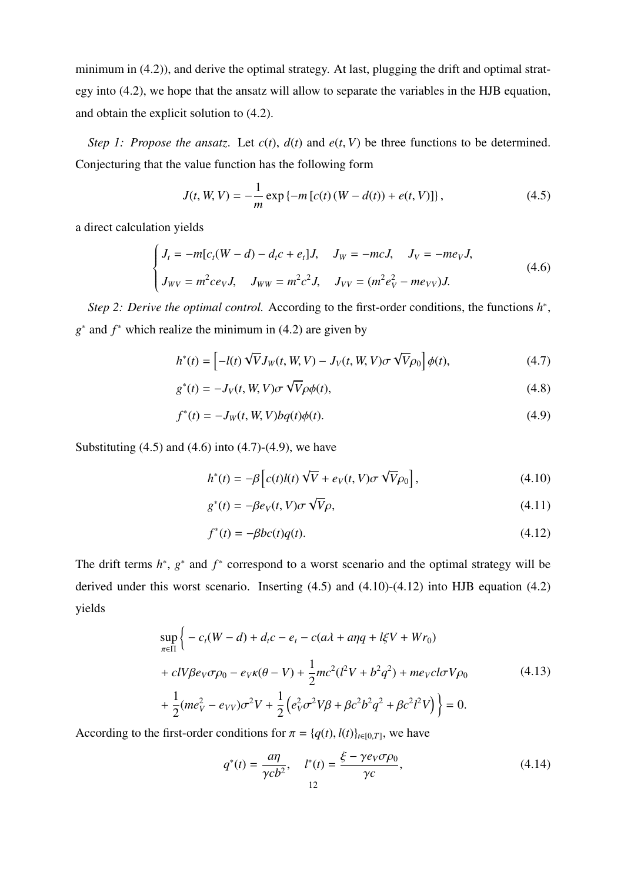minimum in (4.2)), and derive the optimal strategy. At last, plugging the drift and optimal strategy into (4.2), we hope that the ansatz will allow to separate the variables in the HJB equation, and obtain the explicit solution to (4.2).

*Step 1: Propose the ansatz.* Let  $c(t)$ ,  $d(t)$  and  $e(t, V)$  be three functions to be determined. Conjecturing that the value function has the following form

$$
J(t, W, V) = -\frac{1}{m} \exp \{-m \left[ c(t) \left( W - d(t) \right) + e(t, V) \right] \}, \tag{4.5}
$$

a direct calculation yields

$$
\begin{cases}\nJ_t = -m[c_t(W - d) - d_t c + e_t]J, & J_W = -mcJ, & J_V = -me_V J, \\
J_{WV} = m^2 c e_V J, & J_{WW} = m^2 c^2 J, & J_{VV} = (m^2 e_V^2 - me_{VV})J.\n\end{cases}
$$
\n(4.6)

*Step 2: Derive the optimal control.* According to the first-order conditions, the functions  $h^*$ ,  $g^*$  and  $f^*$  which realize the minimum in (4.2) are given by

$$
h^*(t) = \left[ -l(t) \sqrt{V} J_W(t, W, V) - J_V(t, W, V) \sigma \sqrt{V} \rho_0 \right] \phi(t), \tag{4.7}
$$

$$
g^*(t) = -J_V(t, W, V)\sigma \sqrt{V}\rho \phi(t), \qquad (4.8)
$$

$$
f^*(t) = -J_W(t, W, V)bq(t)\phi(t).
$$
\n(4.9)

Substituting  $(4.5)$  and  $(4.6)$  into  $(4.7)-(4.9)$ , we have

$$
h^*(t) = -\beta \left[ c(t)l(t) \sqrt{V} + e_V(t, V)\sigma \sqrt{V} \rho_0 \right],
$$
\n(4.10)

$$
g^*(t) = -\beta e_V(t, V)\sigma \sqrt{V}\rho, \qquad (4.11)
$$

$$
f^*(t) = -\beta bc(t)q(t). \tag{4.12}
$$

The drift terms  $h^*$ ,  $g^*$  and  $f^*$  correspond to a worst scenario and the optimal strategy will be derived under this worst scenario. Inserting (4.5) and (4.10)-(4.12) into HJB equation (4.2) yields

$$
\sup_{\pi \in \Pi} \left\{ -c_t(W - d) + d_t c - e_t - c(a\lambda + a\eta q + l\xi V + Wr_0) \right.+ c l V \beta e_V \sigma \rho_0 - e_V \kappa (\theta - V) + \frac{1}{2} mc^2 (l^2 V + b^2 q^2) + m e_V c l \sigma V \rho_0 \right.+ \frac{1}{2} (m e_V^2 - e_{VV}) \sigma^2 V + \frac{1}{2} \left( e_V^2 \sigma^2 V \beta + \beta c^2 b^2 q^2 + \beta c^2 l^2 V \right) \right\} = 0.
$$
\n(4.13)

According to the first-order conditions for  $\pi = \{q(t), l(t)\}_{t \in [0,T]}$ , we have

$$
q^*(t) = \frac{a\eta}{\gamma cb^2}, \quad l^*(t) = \frac{\xi - \gamma e_V \sigma \rho_0}{\gamma c}, \tag{4.14}
$$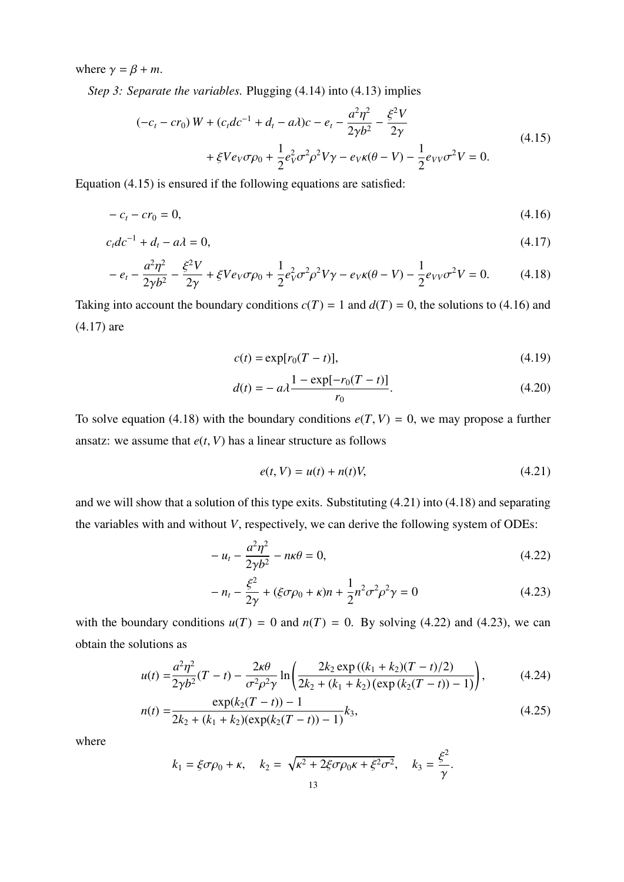where  $\gamma = \beta + m$ .

*Step 3: Separate the variables.* Plugging (4.14) into (4.13) implies

$$
(-c_t - cr_0) W + (c_t dc^{-1} + d_t - a\lambda)c - e_t - \frac{a^2\eta^2}{2\gamma b^2} - \frac{\xi^2 V}{2\gamma} + \xi V e_V \sigma \rho_0 + \frac{1}{2} e_V^2 \sigma^2 \rho^2 V \gamma - e_V \kappa (\theta - V) - \frac{1}{2} e_{VV} \sigma^2 V = 0.
$$
 (4.15)

Equation (4.15) is ensured if the following equations are satisfied:

$$
-c_t - cr_0 = 0, \t\t(4.16)
$$

$$
c_t d c^{-1} + d_t - a \lambda = 0, \tag{4.17}
$$

$$
-e_t - \frac{a^2 \eta^2}{2 \gamma b^2} - \frac{\xi^2 V}{2 \gamma} + \xi V e_V \sigma \rho_0 + \frac{1}{2} e_V^2 \sigma^2 \rho^2 V \gamma - e_V \kappa (\theta - V) - \frac{1}{2} e_V \sigma^2 V = 0.
$$
 (4.18)

Taking into account the boundary conditions  $c(T) = 1$  and  $d(T) = 0$ , the solutions to (4.16) and (4.17) are

$$
c(t) = \exp[r_0(T - t)],
$$
\n(4.19)

$$
d(t) = - a\lambda \frac{1 - \exp[-r_0(T - t)]}{r_0}.
$$
\n(4.20)

To solve equation (4.18) with the boundary conditions  $e(T, V) = 0$ , we may propose a further ansatz: we assume that  $e(t, V)$  has a linear structure as follows

$$
e(t, V) = u(t) + n(t)V,
$$
\n(4.21)

and we will show that a solution of this type exits. Substituting (4.21) into (4.18) and separating the variables with and without *V*, respectively, we can derive the following system of ODEs:

$$
-u_t - \frac{a^2 \eta^2}{2\gamma b^2} - n\kappa \theta = 0,
$$
\t(4.22)

$$
-n_t - \frac{\xi^2}{2\gamma} + (\xi \sigma \rho_0 + \kappa)n + \frac{1}{2}n^2 \sigma^2 \rho^2 \gamma = 0
$$
\n(4.23)

with the boundary conditions  $u(T) = 0$  and  $n(T) = 0$ . By solving (4.22) and (4.23), we can obtain the solutions as

$$
u(t) = \frac{a^2 \eta^2}{2\gamma b^2} (T - t) - \frac{2\kappa \theta}{\sigma^2 \rho^2 \gamma} \ln \left( \frac{2k_2 \exp\left((k_1 + k_2)(T - t)/2\right)}{2k_2 + (k_1 + k_2)\left(\exp\left(k_2(T - t)\right) - 1\right)} \right),\tag{4.24}
$$

$$
n(t) = \frac{\exp(k_2(T - t)) - 1}{2k_2 + (k_1 + k_2)(\exp(k_2(T - t)) - 1)}k_3,
$$
\n(4.25)

where

$$
k_1 = \xi \sigma \rho_0 + \kappa
$$
,  $k_2 = \sqrt{\kappa^2 + 2\xi \sigma \rho_0 \kappa + \xi^2 \sigma^2}$ ,  $k_3 = \frac{\xi^2}{\gamma}$ .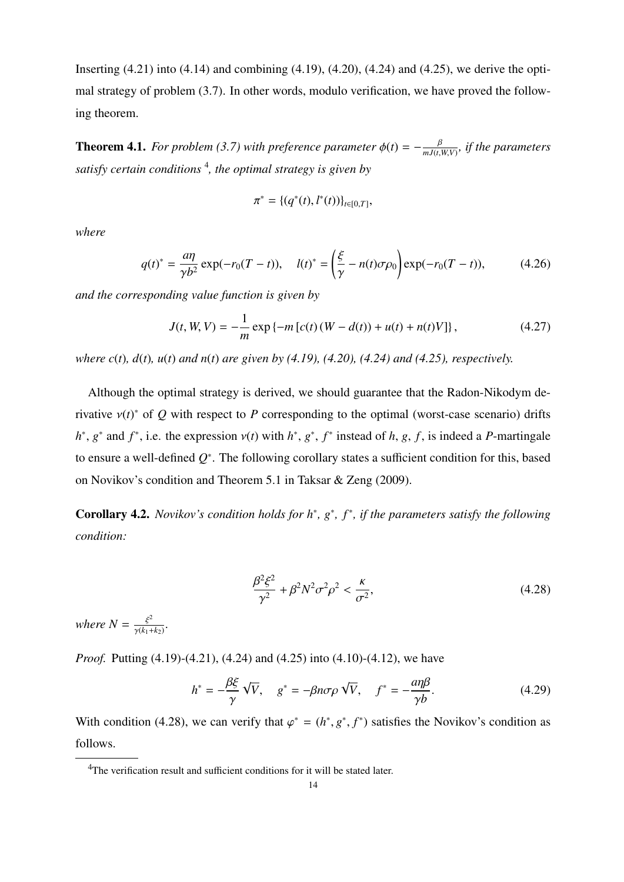Inserting  $(4.21)$  into  $(4.14)$  and combining  $(4.19)$ ,  $(4.20)$ ,  $(4.24)$  and  $(4.25)$ , we derive the optimal strategy of problem (3.7). In other words, modulo verification, we have proved the following theorem.

**Theorem 4.1.** *For problem* (3.7) with preference parameter  $\phi(t) = -\frac{\beta}{m(t)}$  $\frac{p}{mJ(t,W,V)}$ , if the parameters *satisfy certain conditions* <sup>4</sup> *, the optimal strategy is given by*

$$
\pi^* = \{ (q^*(t), l^*(t)) \}_{t \in [0,T]},
$$

*where*

$$
q(t)^{*} = \frac{a\eta}{\gamma b^{2}} \exp(-r_{0}(T-t)), \quad l(t)^{*} = \left(\frac{\xi}{\gamma} - n(t)\sigma\rho_{0}\right) \exp(-r_{0}(T-t)), \quad (4.26)
$$

*and the corresponding value function is given by*

$$
J(t, W, V) = -\frac{1}{m} \exp \{-m \left[ c(t) \left( W - d(t) \right) + u(t) + n(t) V \right] \},\tag{4.27}
$$

*where c*(*t*)*, d*(*t*)*, u*(*t*) *and n*(*t*) *are given by (4.19), (4.20), (4.24) and (4.25), respectively.*

Although the optimal strategy is derived, we should guarantee that the Radon-Nikodym derivative  $v(t)^*$  of Q with respect to P corresponding to the optimal (worst-case scenario) drifts  $h^*$ ,  $g^*$  and  $f^*$ , i.e. the expression  $v(t)$  with  $h^*$ ,  $g^*$ ,  $f^*$  instead of  $h$ ,  $g$ ,  $f$ , is indeed a *P*-martingale to ensure a well-defined *Q* ∗ . The following corollary states a sufficient condition for this, based on Novikov's condition and Theorem 5.1 in Taksar & Zeng (2009).

Corollary 4.2. *Novikov's condition holds for h<sup>\*</sup>, g<sup>\*</sup>, f<sup>\*</sup>, if the parameters satisfy the following condition:*

$$
\frac{\beta^2 \xi^2}{\gamma^2} + \beta^2 N^2 \sigma^2 \rho^2 < \frac{\kappa}{\sigma^2},\tag{4.28}
$$

*where*  $N = \frac{\xi^2}{\gamma (k_1 + \epsilon)}$  $\frac{\xi^2}{\gamma(k_1+k_2)}$ .

*Proof.* Putting (4.19)-(4.21), (4.24) and (4.25) into (4.10)-(4.12), we have

$$
h^* = -\frac{\beta \xi}{\gamma} \sqrt{V}, \quad g^* = -\beta n \sigma \rho \sqrt{V}, \quad f^* = -\frac{a\eta \beta}{\gamma b}.
$$
 (4.29)

With condition (4.28), we can verify that  $\varphi^* = (h^*, g^*, f^*)$  satisfies the Novikov's condition as follows.

<sup>&</sup>lt;sup>4</sup>The verification result and sufficient conditions for it will be stated later.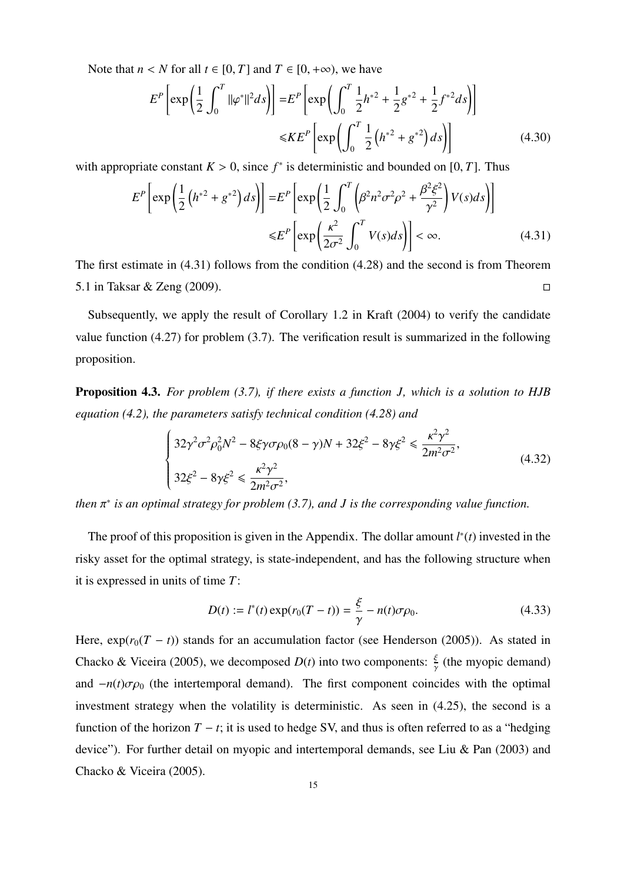Note that  $n < N$  for all  $t \in [0, T]$  and  $T \in [0, +\infty)$ , we have

$$
E^{P}\left[\exp\left(\frac{1}{2}\int_{0}^{T}||\varphi^{*}||^{2}ds\right)\right] = E^{P}\left[\exp\left(\int_{0}^{T}\frac{1}{2}h^{*2} + \frac{1}{2}g^{*2} + \frac{1}{2}f^{*2}ds\right)\right]
$$

$$
\leq KE^{P}\left[\exp\left(\int_{0}^{T}\frac{1}{2}\left(h^{*2} + g^{*2}\right)ds\right)\right]
$$
(4.30)

with appropriate constant  $K > 0$ , since  $f^*$  is deterministic and bounded on [0, *T*]. Thus

$$
E^{P}\left[\exp\left(\frac{1}{2}\left(h^{*2}+g^{*2}\right)ds\right)\right]=E^{P}\left[\exp\left(\frac{1}{2}\int_{0}^{T}\left(\beta^{2}n^{2}\sigma^{2}\rho^{2}+\frac{\beta^{2}\xi^{2}}{\gamma^{2}}\right)V(s)ds\right)\right]
$$

$$
\leq E^{P}\left[\exp\left(\frac{\kappa^{2}}{2\sigma^{2}}\int_{0}^{T}V(s)ds\right)\right]<\infty.
$$
(4.31)

The first estimate in (4.31) follows from the condition (4.28) and the second is from Theorem 5.1 in Taksar & Zeng (2009).

Subsequently, we apply the result of Corollary 1.2 in Kraft (2004) to verify the candidate value function (4.27) for problem (3.7). The verification result is summarized in the following proposition.

Proposition 4.3. *For problem (3.7), if there exists a function J, which is a solution to HJB equation (4.2), the parameters satisfy technical condition (4.28) and*

$$
\begin{cases} 32\gamma^{2}\sigma^{2}\rho_{0}^{2}N^{2} - 8\xi\gamma\sigma\rho_{0}(8-\gamma)N + 32\xi^{2} - 8\gamma\xi^{2} \le \frac{\kappa^{2}\gamma^{2}}{2m^{2}\sigma^{2}},\\ 32\xi^{2} - 8\gamma\xi^{2} \le \frac{\kappa^{2}\gamma^{2}}{2m^{2}\sigma^{2}}, \end{cases}
$$
(4.32)

*then* π<sup>\*</sup> *is an optimal strategy for problem (3.7), and J is the corresponding value function.* 

The proof of this proposition is given in the Appendix. The dollar amount  $l^*(t)$  invested in the risky asset for the optimal strategy, is state-independent, and has the following structure when it is expressed in units of time *T*:

$$
D(t) := l^*(t) \exp(r_0(T - t)) = \frac{\xi}{\gamma} - n(t)\sigma \rho_0.
$$
 (4.33)

Here,  $\exp(r_0(T - t))$  stands for an accumulation factor (see Henderson (2005)). As stated in Chacko & Viceira (2005), we decomposed  $D(t)$  into two components:  $\frac{\xi}{\gamma}$  (the myopic demand) and  $-n(t)\sigma\rho_0$  (the intertemporal demand). The first component coincides with the optimal investment strategy when the volatility is deterministic. As seen in (4.25), the second is a function of the horizon  $T - t$ ; it is used to hedge SV, and thus is often referred to as a "hedging" device"). For further detail on myopic and intertemporal demands, see Liu & Pan (2003) and Chacko & Viceira (2005).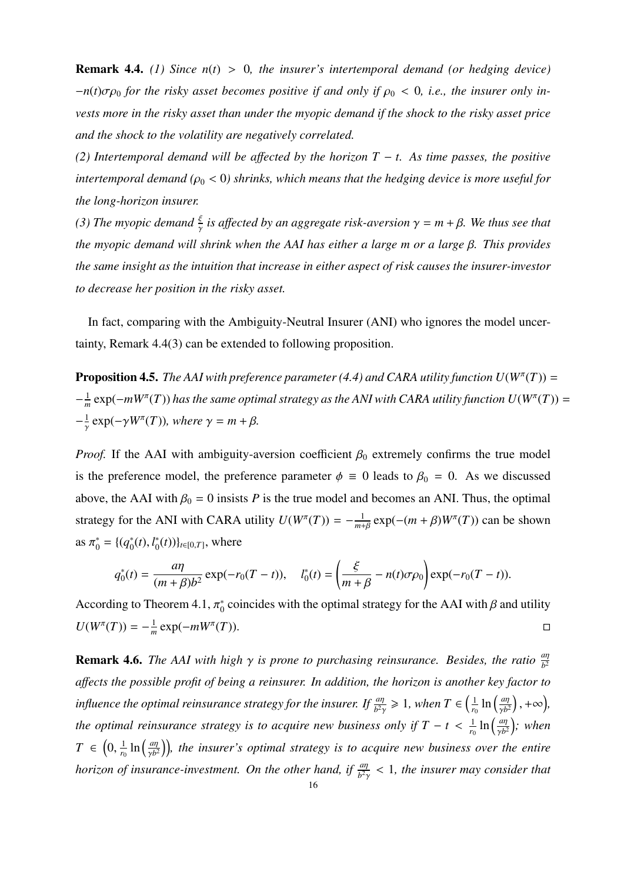Remark 4.4. *(1) Since n*(*t*) > 0*, the insurer's intertemporal demand (or hedging device)*  $-n(t)\sigma\rho_0$  for the risky asset becomes positive if and only if  $\rho_0 < 0$ , i.e., the insurer only in*vests more in the risky asset than under the myopic demand if the shock to the risky asset price and the shock to the volatility are negatively correlated.*

*(2) Intertemporal demand will be a*ff*ected by the horizon T* − *t. As time passes, the positive intertemporal demand* ( $\rho_0 < 0$ ) shrinks, which means that the hedging device is more useful for *the long-horizon insurer.*

(3) The myopic demand  $\frac{\xi}{\gamma}$  is affected by an aggregate risk-aversion  $\gamma = m + \beta$ . We thus see that *the myopic demand will shrink when the AAI has either a large m or a large* β*. This provides the same insight as the intuition that increase in either aspect of risk causes the insurer-investor to decrease her position in the risky asset.*

In fact, comparing with the Ambiguity-Neutral Insurer (ANI) who ignores the model uncertainty, Remark 4.4(3) can be extended to following proposition.

**Proposition 4.5.** *The AAI with preference parameter (4.4) and CARA utility function*  $U(W^{n}(T))$  *=*  $-\frac{1}{n}$  $\frac{1}{m}$  exp(−*mW*<sup>π</sup>(T)) has the same optimal strategy as the ANI with CARA utility function  $U(W^{π}(T))$  =  $-\frac{1}{\alpha}$  $\frac{1}{\gamma}$  exp( $-\gamma W^{\pi}(T)$ )*, where*  $\gamma = m + \beta$ *.* 

*Proof.* If the AAI with ambiguity-aversion coefficient  $\beta_0$  extremely confirms the true model is the preference model, the preference parameter  $\phi \equiv 0$  leads to  $\beta_0 = 0$ . As we discussed above, the AAI with  $\beta_0 = 0$  insists *P* is the true model and becomes an ANI. Thus, the optimal strategy for the ANI with CARA utility  $U(W^{n}(T)) = -\frac{1}{m}$  $\frac{1}{m+\beta}$  exp( $-(m+\beta)W^{\pi}(T)$ ) can be shown as  $\pi_0^* = \{ (q_0^* \)$  $\int_0^*(t)$ ,  $l_0^*$  $\binom{0}{0}(t)$ <sub>*t*∈[0,*T*]</sub>, where

$$
q_0^*(t) = \frac{a\eta}{(m+\beta)b^2} \exp(-r_0(T-t)), \quad l_0^*(t) = \left(\frac{\xi}{m+\beta} - n(t)\sigma\rho_0\right) \exp(-r_0(T-t)).
$$

According to Theorem 4.1,  $\pi_0^*$  $^*_{0}$  coincides with the optimal strategy for the AAI with  $\beta$  and utility  $U(W^{\pi}(T)) = -\frac{1}{n}$  $\frac{1}{m}$  exp( $-mW^{\pi}$ (*T*)).

**Remark 4.6.** *The AAI with high*  $\gamma$  *is prone to purchasing reinsurance. Besides, the ratio*  $\frac{a\eta}{b^2}$ *a*ff*ects the possible profit of being a reinsurer. In addition, the horizon is another key factor to influence the optimal reinsurance strategy for the insurer. If*  $\frac{a\eta}{b^2\gamma}\geqslant 1$ *, when*  $T\in\left(\frac{1}{n}\right)$  $\frac{1}{r_0}$  ln  $\left(\frac{a\eta}{\gamma b}\right)$  $\left(\frac{a\eta}{\gamma b^2}\right), +\infty$ ), *the optimal reinsurance strategy is to acquire new business only if*  $T - t < \frac{1}{r}$  $\frac{1}{r_0}$  ln  $\left(\frac{a\eta}{\gamma b}\right)$ γ*b* 2 ) *; when*  $T \in \left(0, \frac{1}{r_0}\right)$  $\frac{1}{r_0}$  ln  $\left(\frac{a\eta}{\gamma b^2}\right)$ γ*b* 2 ))*, the insurer's optimal strategy is to acquire new business over the entire horizon of insurance-investment. On the other hand, if*  $\frac{a\eta}{b^2\gamma}$  < 1, the insurer may consider that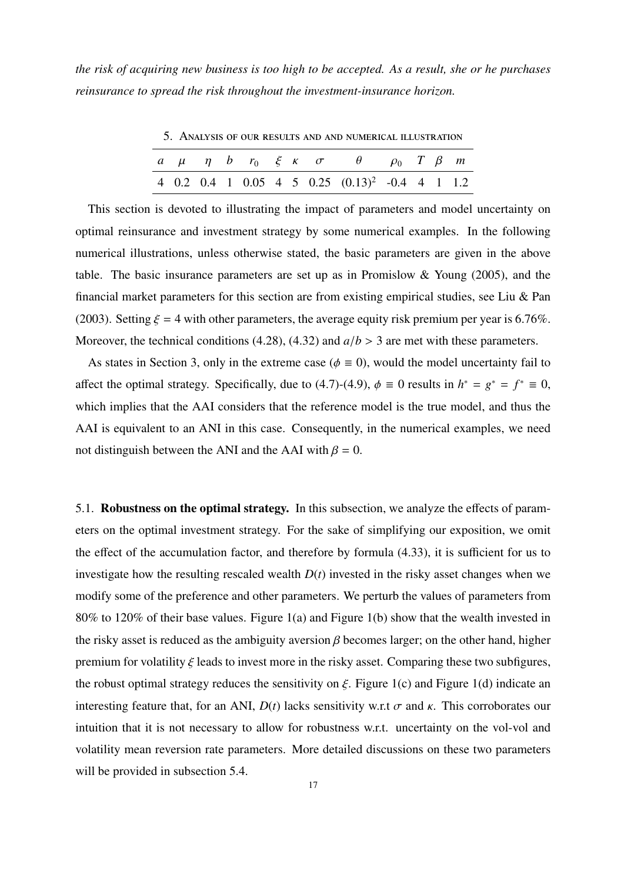*the risk of acquiring new business is too high to be accepted. As a result, she or he purchases reinsurance to spread the risk throughout the investment-insurance horizon.*

| 2. THALIBID OF OOK REBULTD AND AND NOMERICAL ILLOBITATION |  |  |  |  |  |  |  |                                                                                |  |  |  |  |
|-----------------------------------------------------------|--|--|--|--|--|--|--|--------------------------------------------------------------------------------|--|--|--|--|
|                                                           |  |  |  |  |  |  |  | $a \mu \eta$ b $r_0$ $\xi$ $\kappa$ $\sigma$ $\theta$ $\rho_0$ $T$ $\beta$ $m$ |  |  |  |  |
|                                                           |  |  |  |  |  |  |  | 4 0.2 0.4 1 0.05 4 5 0.25 $(0.13)^2$ -0.4 4 1 1.2                              |  |  |  |  |

5. Analysis of our results and and numerical illustration

This section is devoted to illustrating the impact of parameters and model uncertainty on optimal reinsurance and investment strategy by some numerical examples. In the following numerical illustrations, unless otherwise stated, the basic parameters are given in the above table. The basic insurance parameters are set up as in Promislow & Young (2005), and the financial market parameters for this section are from existing empirical studies, see Liu & Pan (2003). Setting  $\xi = 4$  with other parameters, the average equity risk premium per year is 6.76%. Moreover, the technical conditions (4.28), (4.32) and  $a/b > 3$  are met with these parameters.

As states in Section 3, only in the extreme case ( $\phi \equiv 0$ ), would the model uncertainty fail to affect the optimal strategy. Specifically, due to (4.7)-(4.9),  $\phi \equiv 0$  results in  $h^* = g^* = f^* \equiv 0$ , which implies that the AAI considers that the reference model is the true model, and thus the AAI is equivalent to an ANI in this case. Consequently, in the numerical examples, we need not distinguish between the ANI and the AAI with  $\beta = 0$ .

5.1. Robustness on the optimal strategy. In this subsection, we analyze the effects of parameters on the optimal investment strategy. For the sake of simplifying our exposition, we omit the effect of the accumulation factor, and therefore by formula (4.33), it is sufficient for us to investigate how the resulting rescaled wealth *D*(*t*) invested in the risky asset changes when we modify some of the preference and other parameters. We perturb the values of parameters from 80% to 120% of their base values. Figure 1(a) and Figure 1(b) show that the wealth invested in the risky asset is reduced as the ambiguity aversion  $\beta$  becomes larger; on the other hand, higher premium for volatility  $\xi$  leads to invest more in the risky asset. Comparing these two subfigures, the robust optimal strategy reduces the sensitivity on  $\xi$ . Figure 1(c) and Figure 1(d) indicate an interesting feature that, for an ANI,  $D(t)$  lacks sensitivity w.r.t  $\sigma$  and  $\kappa$ . This corroborates our intuition that it is not necessary to allow for robustness w.r.t. uncertainty on the vol-vol and volatility mean reversion rate parameters. More detailed discussions on these two parameters will be provided in subsection 5.4.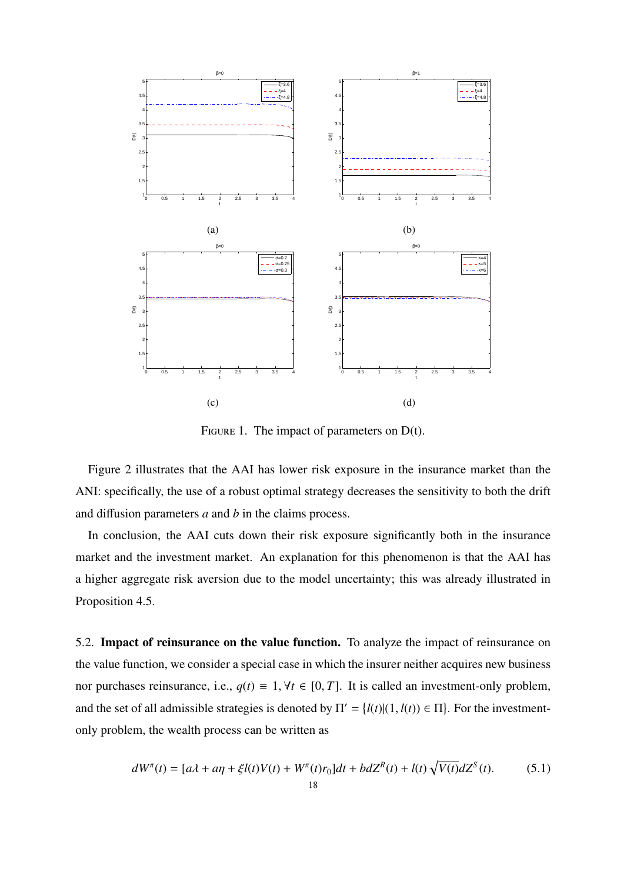

FIGURE 1. The impact of parameters on  $D(t)$ .

Figure 2 illustrates that the AAI has lower risk exposure in the insurance market than the ANI: specifically, the use of a robust optimal strategy decreases the sensitivity to both the drift and diffusion parameters *a* and *b* in the claims process.

In conclusion, the AAI cuts down their risk exposure significantly both in the insurance market and the investment market. An explanation for this phenomenon is that the AAI has a higher aggregate risk aversion due to the model uncertainty; this was already illustrated in Proposition 4.5.

5.2. Impact of reinsurance on the value function. To analyze the impact of reinsurance on the value function, we consider a special case in which the insurer neither acquires new business nor purchases reinsurance, i.e.,  $q(t) \equiv 1, \forall t \in [0, T]$ . It is called an investment-only problem, and the set of all admissible strategies is denoted by  $\Pi' = \{l(t)| (1, l(t)) \in \Pi\}$ . For the investmentonly problem, the wealth process can be written as

$$
dW^{\pi}(t) = [a\lambda + a\eta + \xi l(t)V(t) + W^{\pi}(t)r_0]dt + bdZ^{R}(t) + l(t)\sqrt{V(t)}dZ^{S}(t).
$$
 (5.1)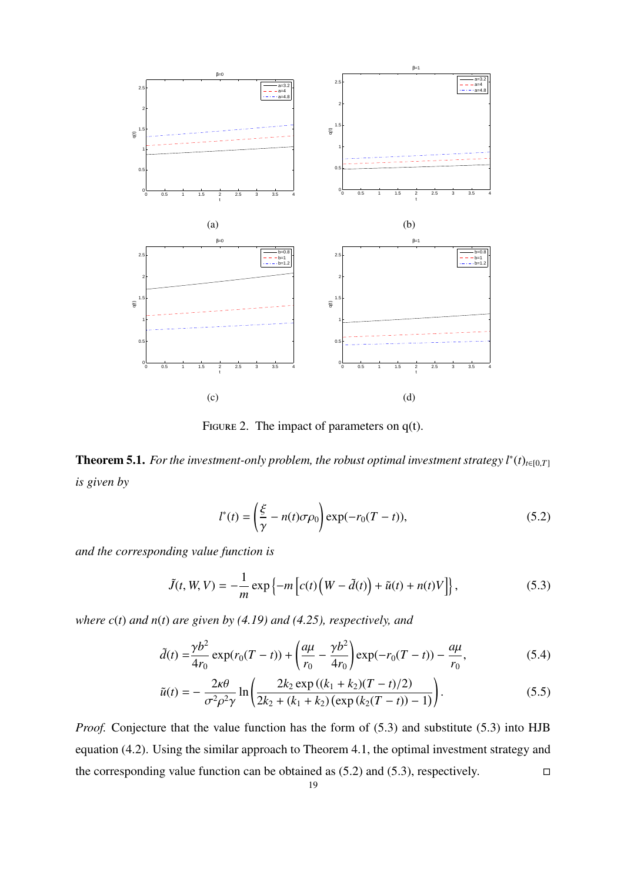

FIGURE 2. The impact of parameters on  $q(t)$ .

**Theorem 5.1.** For the investment-only problem, the robust optimal investment strategy  $l^*(t)_{t \in [0,T]}$ *is given by*

$$
l^*(t) = \left(\frac{\xi}{\gamma} - n(t)\sigma\rho_0\right) \exp(-r_0(T - t)),\tag{5.2}
$$

*and the corresponding value function is*

$$
\tilde{J}(t, W, V) = -\frac{1}{m} \exp \left\{-m \left[c(t) \left(W - \tilde{d}(t)\right) + \tilde{u}(t) + n(t)V\right]\right\},\tag{5.3}
$$

*where c*(*t*) *and n*(*t*) *are given by (4.19) and (4.25), respectively, and*

$$
\tilde{d}(t) = \frac{\gamma b^2}{4r_0} \exp(r_0(T - t)) + \left(\frac{a\mu}{r_0} - \frac{\gamma b^2}{4r_0}\right) \exp(-r_0(T - t)) - \frac{a\mu}{r_0},
$$
\n(5.4)

$$
\tilde{u}(t) = -\frac{2\kappa\theta}{\sigma^2 \rho^2 \gamma} \ln \left( \frac{2k_2 \exp\left((k_1 + k_2)(T - t)/2\right)}{2k_2 + (k_1 + k_2)\left(\exp\left(k_2(T - t)\right) - 1\right)} \right).
$$
\n(5.5)

*Proof.* Conjecture that the value function has the form of (5.3) and substitute (5.3) into HJB equation (4.2). Using the similar approach to Theorem 4.1, the optimal investment strategy and the corresponding value function can be obtained as  $(5.2)$  and  $(5.3)$ , respectively.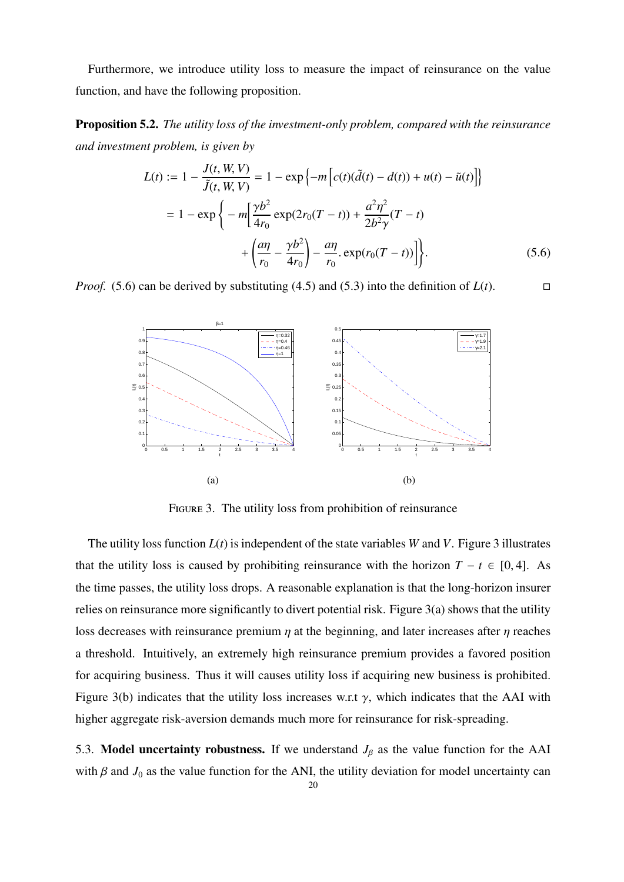Furthermore, we introduce utility loss to measure the impact of reinsurance on the value function, and have the following proposition.

Proposition 5.2. *The utility loss of the investment-only problem, compared with the reinsurance and investment problem, is given by*

$$
L(t) := 1 - \frac{J(t, W, V)}{\tilde{J}(t, W, V)} = 1 - \exp\left\{-m\left[c(t)(\tilde{d}(t) - d(t)) + u(t) - \tilde{u}(t)\right]\right\}
$$
  
=  $1 - \exp\left\{-m\left[\frac{\gamma b^2}{4r_0} \exp(2r_0(T - t)) + \frac{a^2 \eta^2}{2b^2 \gamma}(T - t)\right] + \left(\frac{a\eta}{r_0} - \frac{\gamma b^2}{4r_0}\right) - \frac{a\eta}{r_0} \cdot \exp(r_0(T - t))\right\}.$  (5.6)

*Proof.* (5.6) can be derived by substituting (4.5) and (5.3) into the definition of  $L(t)$ .



FIGURE 3. The utility loss from prohibition of reinsurance

The utility loss function *L*(*t*) is independent of the state variables *W* and *V*. Figure 3 illustrates that the utility loss is caused by prohibiting reinsurance with the horizon  $T - t \in [0, 4]$ . As the time passes, the utility loss drops. A reasonable explanation is that the long-horizon insurer relies on reinsurance more significantly to divert potential risk. Figure 3(a) shows that the utility loss decreases with reinsurance premium  $\eta$  at the beginning, and later increases after  $\eta$  reaches a threshold. Intuitively, an extremely high reinsurance premium provides a favored position for acquiring business. Thus it will causes utility loss if acquiring new business is prohibited. Figure 3(b) indicates that the utility loss increases w.r.t  $\gamma$ , which indicates that the AAI with higher aggregate risk-aversion demands much more for reinsurance for risk-spreading.

5.3. Model uncertainty robustness. If we understand  $J_\beta$  as the value function for the AAI with  $\beta$  and  $J_0$  as the value function for the ANI, the utility deviation for model uncertainty can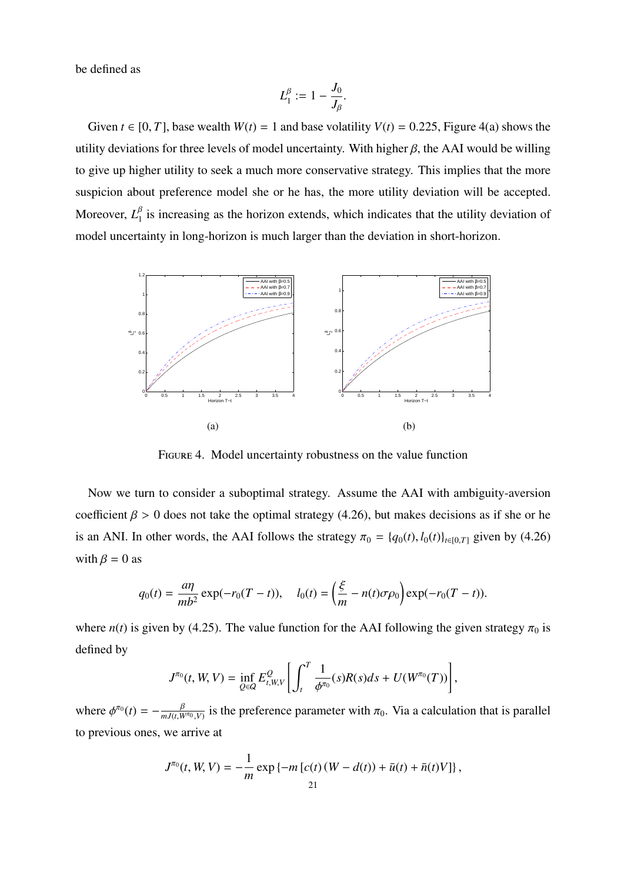be defined as

$$
L_1^{\beta}:=1-\frac{J_0}{J_{\beta}}.
$$

Given  $t \in [0, T]$ , base wealth  $W(t) = 1$  and base volatility  $V(t) = 0.225$ , Figure 4(a) shows the utility deviations for three levels of model uncertainty. With higher  $\beta$ , the AAI would be willing to give up higher utility to seek a much more conservative strategy. This implies that the more suspicion about preference model she or he has, the more utility deviation will be accepted. Moreover, *L* β  $\frac{1}{1}$  is increasing as the horizon extends, which indicates that the utility deviation of model uncertainty in long-horizon is much larger than the deviation in short-horizon.



Figure 4. Model uncertainty robustness on the value function

Now we turn to consider a suboptimal strategy. Assume the AAI with ambiguity-aversion coefficient  $\beta > 0$  does not take the optimal strategy (4.26), but makes decisions as if she or he is an ANI. In other words, the AAI follows the strategy  $\pi_0 = \{q_0(t), l_0(t)\}_{t \in [0,T]}$  given by (4.26) with  $\beta = 0$  as

$$
q_0(t) = \frac{a\eta}{mb^2} \exp(-r_0(T-t)), \quad l_0(t) = \left(\frac{\xi}{m} - n(t)\sigma\rho_0\right) \exp(-r_0(T-t)).
$$

where  $n(t)$  is given by (4.25). The value function for the AAI following the given strategy  $\pi_0$  is defined by

$$
J^{\pi_0}(t, W, V) = \inf_{Q \in \mathcal{Q}} E^Q_{t, W, V} \left[ \int_t^T \frac{1}{\phi^{\pi_0}}(s) R(s) ds + U(W^{\pi_0}(T)) \right],
$$

where  $\phi^{\pi_0}(t) = -\frac{\beta}{m l(t) W}$  $\frac{\beta}{mJ(t,W^{n_0},V)}$  is the preference parameter with  $\pi_0$ . Via a calculation that is parallel to previous ones, we arrive at

$$
J^{\pi_0}(t, W, V) = -\frac{1}{m} \exp \{-m \left[c(t) \left(W - d(t)\right) + \bar{u}(t) + \bar{n}(t) V\right]\},\
$$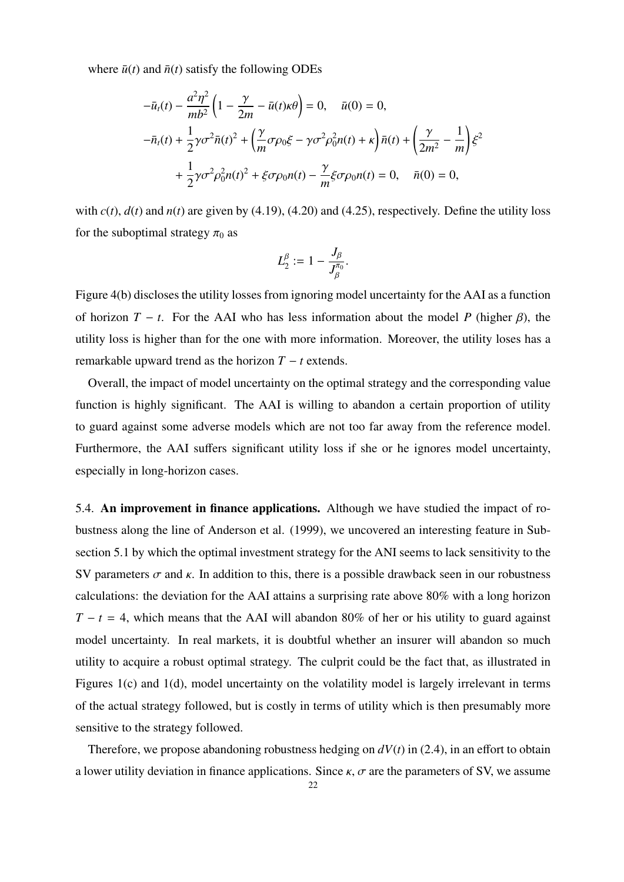where  $\bar{u}(t)$  and  $\bar{n}(t)$  satisfy the following ODEs

$$
-\bar{u}_t(t) - \frac{a^2 \eta^2}{m b^2} \left( 1 - \frac{\gamma}{2m} - \bar{u}(t)\kappa \theta \right) = 0, \quad \bar{u}(0) = 0,
$$
  

$$
-\bar{n}_t(t) + \frac{1}{2} \gamma \sigma^2 \bar{n}(t)^2 + \left( \frac{\gamma}{m} \sigma \rho_0 \xi - \gamma \sigma^2 \rho_0^2 n(t) + \kappa \right) \bar{n}(t) + \left( \frac{\gamma}{2m^2} - \frac{1}{m} \right) \xi^2
$$
  

$$
+ \frac{1}{2} \gamma \sigma^2 \rho_0^2 n(t)^2 + \xi \sigma \rho_0 n(t) - \frac{\gamma}{m} \xi \sigma \rho_0 n(t) = 0, \quad \bar{n}(0) = 0,
$$

with  $c(t)$ ,  $d(t)$  and  $n(t)$  are given by (4.19), (4.20) and (4.25), respectively. Define the utility loss for the suboptimal strategy  $\pi_0$  as

$$
L_2^{\beta}:=1-\frac{J_{\beta}}{J_{\beta}^{\pi_0}}.
$$

Figure 4(b) discloses the utility losses from ignoring model uncertainty for the AAI as a function of horizon  $T - t$ . For the AAI who has less information about the model P (higher  $\beta$ ), the utility loss is higher than for the one with more information. Moreover, the utility loses has a remarkable upward trend as the horizon  $T - t$  extends.

Overall, the impact of model uncertainty on the optimal strategy and the corresponding value function is highly significant. The AAI is willing to abandon a certain proportion of utility to guard against some adverse models which are not too far away from the reference model. Furthermore, the AAI suffers significant utility loss if she or he ignores model uncertainty, especially in long-horizon cases.

5.4. An improvement in finance applications. Although we have studied the impact of robustness along the line of Anderson et al. (1999), we uncovered an interesting feature in Subsection 5.1 by which the optimal investment strategy for the ANI seems to lack sensitivity to the SV parameters  $\sigma$  and  $\kappa$ . In addition to this, there is a possible drawback seen in our robustness calculations: the deviation for the AAI attains a surprising rate above 80% with a long horizon  $T - t = 4$ , which means that the AAI will abandon 80% of her or his utility to guard against model uncertainty. In real markets, it is doubtful whether an insurer will abandon so much utility to acquire a robust optimal strategy. The culprit could be the fact that, as illustrated in Figures 1(c) and 1(d), model uncertainty on the volatility model is largely irrelevant in terms of the actual strategy followed, but is costly in terms of utility which is then presumably more sensitive to the strategy followed.

Therefore, we propose abandoning robustness hedging on  $dV(t)$  in (2.4), in an effort to obtain a lower utility deviation in finance applications. Since  $\kappa$ ,  $\sigma$  are the parameters of SV, we assume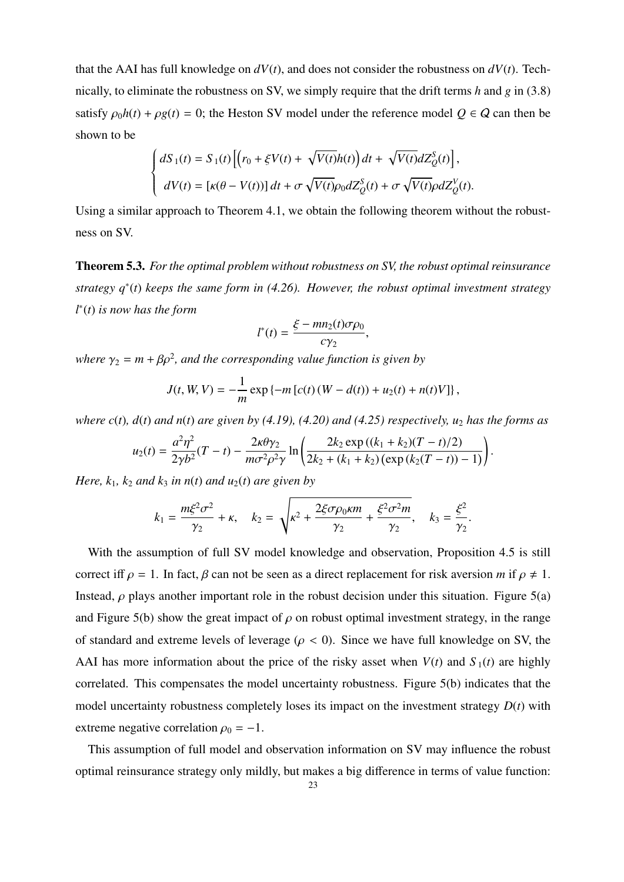that the AAI has full knowledge on  $dV(t)$ , and does not consider the robustness on  $dV(t)$ . Technically, to eliminate the robustness on SV, we simply require that the drift terms *h* and *g* in (3.8) satisfy  $\rho_0 h(t) + \rho g(t) = 0$ ; the Heston SV model under the reference model  $Q \in Q$  can then be shown to be

$$
\begin{cases}\ndS_1(t) = S_1(t) \left[ \left( r_0 + \xi V(t) + \sqrt{V(t)} h(t) \right) dt + \sqrt{V(t)} dZ_Q^S(t) \right], \\
dV(t) = \left[ \kappa (\theta - V(t)) \right] dt + \sigma \sqrt{V(t)} \rho_0 dZ_Q^S(t) + \sigma \sqrt{V(t)} \rho dZ_Q^V(t).\n\end{cases}
$$

Using a similar approach to Theorem 4.1, we obtain the following theorem without the robustness on SV.

Theorem 5.3. *For the optimal problem without robustness on SV, the robust optimal reinsurance strategy q*<sup>∗</sup> (*t*) *keeps the same form in (4.26). However, the robust optimal investment strategy l* ∗ (*t*) *is now has the form*

$$
l^*(t) = \frac{\xi - mn_2(t)\sigma \rho_0}{c\gamma_2},
$$

*where*  $\gamma_2 = m + \beta \rho^2$ , and the corresponding value function is given by

$$
J(t, W, V) = -\frac{1}{m} \exp \{-m \left[c(t) (W - d(t)) + u_2(t) + n(t) V\right]\},\,
$$

*where c*(*t*),  $d(t)$  *and n*(*t*) *are given by* (4.19), (4.20) *and* (4.25) *respectively, u<sub>2</sub> <i>has the forms as* 

$$
u_2(t) = \frac{a^2 \eta^2}{2\gamma b^2} (T - t) - \frac{2\kappa \theta \gamma_2}{m \sigma^2 \rho^2 \gamma} \ln \left( \frac{2k_2 \exp{((k_1 + k_2)(T - t)/2)}}{2k_2 + (k_1 + k_2) (\exp{(k_2(T - t))} - 1)} \right)
$$

.

*Here,*  $k_1$ *,*  $k_2$  *and*  $k_3$  *in n*(*t*) *and*  $u_2$ (*t*) *are given by* 

$$
k_1 = \frac{m\xi^2 \sigma^2}{\gamma_2} + \kappa, \quad k_2 = \sqrt{\kappa^2 + \frac{2\xi\sigma\rho_0 \kappa m}{\gamma_2} + \frac{\xi^2 \sigma^2 m}{\gamma_2}}, \quad k_3 = \frac{\xi^2}{\gamma_2}.
$$

With the assumption of full SV model knowledge and observation, Proposition 4.5 is still correct iff  $\rho = 1$ . In fact,  $\beta$  can not be seen as a direct replacement for risk aversion *m* if  $\rho \neq 1$ . Instead,  $\rho$  plays another important role in the robust decision under this situation. Figure 5(a) and Figure 5(b) show the great impact of  $\rho$  on robust optimal investment strategy, in the range of standard and extreme levels of leverage ( $\rho < 0$ ). Since we have full knowledge on SV, the AAI has more information about the price of the risky asset when  $V(t)$  and  $S_1(t)$  are highly correlated. This compensates the model uncertainty robustness. Figure 5(b) indicates that the model uncertainty robustness completely loses its impact on the investment strategy *D*(*t*) with extreme negative correlation  $\rho_0 = -1$ .

This assumption of full model and observation information on SV may influence the robust optimal reinsurance strategy only mildly, but makes a big difference in terms of value function: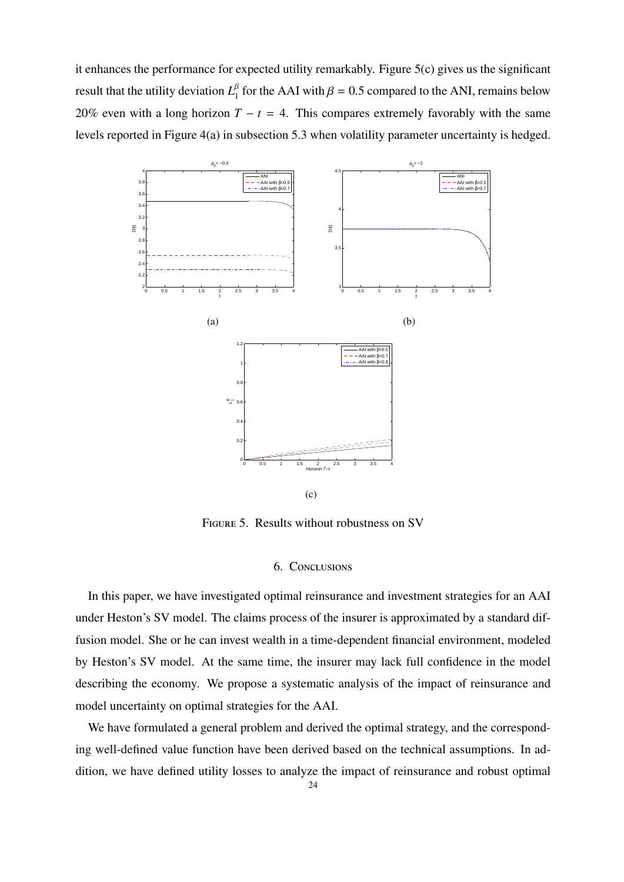it enhances the performance for expected utility remarkably. Figure 5(c) gives us the significant result that the utility deviation  $L_1^{\beta}$  $\frac{\beta}{1}$  for the AAI with  $\beta = 0.5$  compared to the ANI, remains below 20% even with a long horizon  $T - t = 4$ . This compares extremely favorably with the same levels reported in Figure 4(a) in subsection 5.3 when volatility parameter uncertainty is hedged.



Figure 5. Results without robustness on SV

### 6. Conclusions

In this paper, we have investigated optimal reinsurance and investment strategies for an AAI under Heston's SV model. The claims process of the insurer is approximated by a standard diffusion model. She or he can invest wealth in a time-dependent financial environment, modeled by Heston's SV model. At the same time, the insurer may lack full confidence in the model describing the economy. We propose a systematic analysis of the impact of reinsurance and model uncertainty on optimal strategies for the AAI.

We have formulated a general problem and derived the optimal strategy, and the corresponding well-defined value function have been derived based on the technical assumptions. In addition, we have defined utility losses to analyze the impact of reinsurance and robust optimal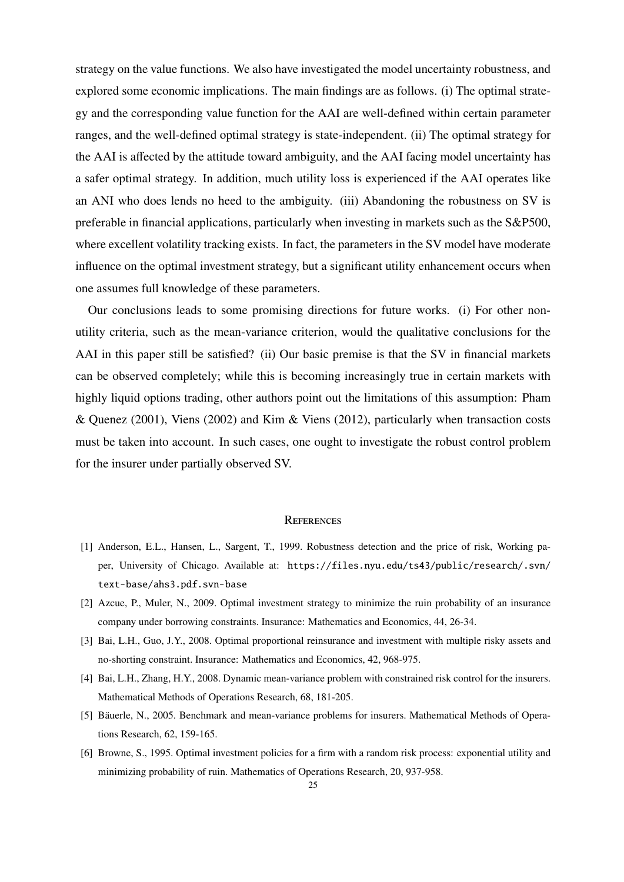strategy on the value functions. We also have investigated the model uncertainty robustness, and explored some economic implications. The main findings are as follows. (i) The optimal strategy and the corresponding value function for the AAI are well-defined within certain parameter ranges, and the well-defined optimal strategy is state-independent. (ii) The optimal strategy for the AAI is affected by the attitude toward ambiguity, and the AAI facing model uncertainty has a safer optimal strategy. In addition, much utility loss is experienced if the AAI operates like an ANI who does lends no heed to the ambiguity. (iii) Abandoning the robustness on SV is preferable in financial applications, particularly when investing in markets such as the S&P500, where excellent volatility tracking exists. In fact, the parameters in the SV model have moderate influence on the optimal investment strategy, but a significant utility enhancement occurs when one assumes full knowledge of these parameters.

Our conclusions leads to some promising directions for future works. (i) For other nonutility criteria, such as the mean-variance criterion, would the qualitative conclusions for the AAI in this paper still be satisfied? (ii) Our basic premise is that the SV in financial markets can be observed completely; while this is becoming increasingly true in certain markets with highly liquid options trading, other authors point out the limitations of this assumption: Pham & Quenez (2001), Viens (2002) and Kim & Viens (2012), particularly when transaction costs must be taken into account. In such cases, one ought to investigate the robust control problem for the insurer under partially observed SV.

#### **REFERENCES**

- [1] Anderson, E.L., Hansen, L., Sargent, T., 1999. Robustness detection and the price of risk, Working paper, University of Chicago. Available at: https://files.nyu.edu/ts43/public/research/.svn/ text-base/ahs3.pdf.svn-base
- [2] Azcue, P., Muler, N., 2009. Optimal investment strategy to minimize the ruin probability of an insurance company under borrowing constraints. Insurance: Mathematics and Economics, 44, 26-34.
- [3] Bai, L.H., Guo, J.Y., 2008. Optimal proportional reinsurance and investment with multiple risky assets and no-shorting constraint. Insurance: Mathematics and Economics, 42, 968-975.
- [4] Bai, L.H., Zhang, H.Y., 2008. Dynamic mean-variance problem with constrained risk control for the insurers. Mathematical Methods of Operations Research, 68, 181-205.
- [5] Bäuerle, N., 2005. Benchmark and mean-variance problems for insurers. Mathematical Methods of Operations Research, 62, 159-165.
- [6] Browne, S., 1995. Optimal investment policies for a firm with a random risk process: exponential utility and minimizing probability of ruin. Mathematics of Operations Research, 20, 937-958.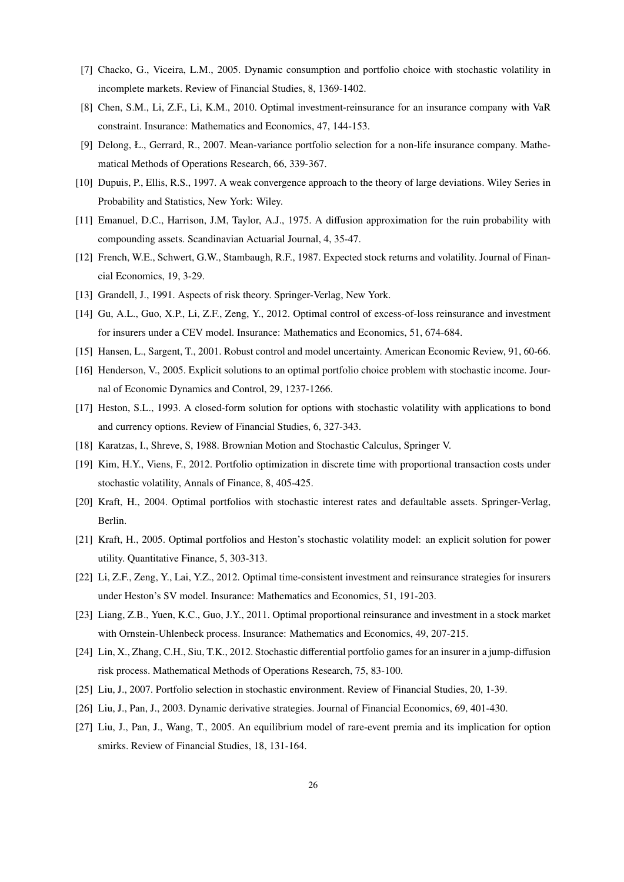- [7] Chacko, G., Viceira, L.M., 2005. Dynamic consumption and portfolio choice with stochastic volatility in incomplete markets. Review of Financial Studies, 8, 1369-1402.
- [8] Chen, S.M., Li, Z.F., Li, K.M., 2010. Optimal investment-reinsurance for an insurance company with VaR constraint. Insurance: Mathematics and Economics, 47, 144-153.
- [9] Delong, Ł., Gerrard, R., 2007. Mean-variance portfolio selection for a non-life insurance company. Mathematical Methods of Operations Research, 66, 339-367.
- [10] Dupuis, P., Ellis, R.S., 1997. A weak convergence approach to the theory of large deviations. Wiley Series in Probability and Statistics, New York: Wiley.
- [11] Emanuel, D.C., Harrison, J.M, Taylor, A.J., 1975. A diffusion approximation for the ruin probability with compounding assets. Scandinavian Actuarial Journal, 4, 35-47.
- [12] French, W.E., Schwert, G.W., Stambaugh, R.F., 1987. Expected stock returns and volatility. Journal of Financial Economics, 19, 3-29.
- [13] Grandell, J., 1991. Aspects of risk theory. Springer-Verlag, New York.
- [14] Gu, A.L., Guo, X.P., Li, Z.F., Zeng, Y., 2012. Optimal control of excess-of-loss reinsurance and investment for insurers under a CEV model. Insurance: Mathematics and Economics, 51, 674-684.
- [15] Hansen, L., Sargent, T., 2001. Robust control and model uncertainty. American Economic Review, 91, 60-66.
- [16] Henderson, V., 2005. Explicit solutions to an optimal portfolio choice problem with stochastic income. Journal of Economic Dynamics and Control, 29, 1237-1266.
- [17] Heston, S.L., 1993. A closed-form solution for options with stochastic volatility with applications to bond and currency options. Review of Financial Studies, 6, 327-343.
- [18] Karatzas, I., Shreve, S, 1988. Brownian Motion and Stochastic Calculus, Springer V.
- [19] Kim, H.Y., Viens, F., 2012. Portfolio optimization in discrete time with proportional transaction costs under stochastic volatility, Annals of Finance, 8, 405-425.
- [20] Kraft, H., 2004. Optimal portfolios with stochastic interest rates and defaultable assets. Springer-Verlag, Berlin.
- [21] Kraft, H., 2005. Optimal portfolios and Heston's stochastic volatility model: an explicit solution for power utility. Quantitative Finance, 5, 303-313.
- [22] Li, Z.F., Zeng, Y., Lai, Y.Z., 2012. Optimal time-consistent investment and reinsurance strategies for insurers under Heston's SV model. Insurance: Mathematics and Economics, 51, 191-203.
- [23] Liang, Z.B., Yuen, K.C., Guo, J.Y., 2011. Optimal proportional reinsurance and investment in a stock market with Ornstein-Uhlenbeck process. Insurance: Mathematics and Economics, 49, 207-215.
- [24] Lin, X., Zhang, C.H., Siu, T.K., 2012. Stochastic differential portfolio games for an insurer in a jump-diffusion risk process. Mathematical Methods of Operations Research, 75, 83-100.
- [25] Liu, J., 2007. Portfolio selection in stochastic environment. Review of Financial Studies, 20, 1-39.
- [26] Liu, J., Pan, J., 2003. Dynamic derivative strategies. Journal of Financial Economics, 69, 401-430.
- [27] Liu, J., Pan, J., Wang, T., 2005. An equilibrium model of rare-event premia and its implication for option smirks. Review of Financial Studies, 18, 131-164.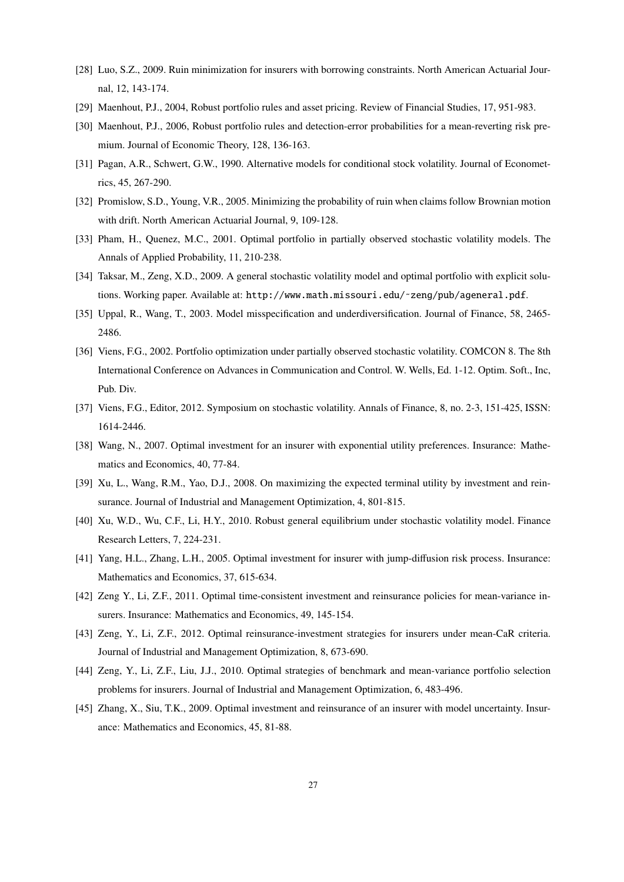- [28] Luo, S.Z., 2009. Ruin minimization for insurers with borrowing constraints. North American Actuarial Journal, 12, 143-174.
- [29] Maenhout, P.J., 2004, Robust portfolio rules and asset pricing. Review of Financial Studies, 17, 951-983.
- [30] Maenhout, P.J., 2006, Robust portfolio rules and detection-error probabilities for a mean-reverting risk premium. Journal of Economic Theory, 128, 136-163.
- [31] Pagan, A.R., Schwert, G.W., 1990. Alternative models for conditional stock volatility. Journal of Econometrics, 45, 267-290.
- [32] Promislow, S.D., Young, V.R., 2005. Minimizing the probability of ruin when claims follow Brownian motion with drift. North American Actuarial Journal, 9, 109-128.
- [33] Pham, H., Quenez, M.C., 2001. Optimal portfolio in partially observed stochastic volatility models. The Annals of Applied Probability, 11, 210-238.
- [34] Taksar, M., Zeng, X.D., 2009. A general stochastic volatility model and optimal portfolio with explicit solutions. Working paper. Available at: http://www.math.missouri.edu/~zeng/pub/ageneral.pdf.
- [35] Uppal, R., Wang, T., 2003. Model misspecification and underdiversification. Journal of Finance, 58, 2465- 2486.
- [36] Viens, F.G., 2002. Portfolio optimization under partially observed stochastic volatility. COMCON 8. The 8th International Conference on Advances in Communication and Control. W. Wells, Ed. 1-12. Optim. Soft., Inc, Pub. Div.
- [37] Viens, F.G., Editor, 2012. Symposium on stochastic volatility. Annals of Finance, 8, no. 2-3, 151-425, ISSN: 1614-2446.
- [38] Wang, N., 2007. Optimal investment for an insurer with exponential utility preferences. Insurance: Mathematics and Economics, 40, 77-84.
- [39] Xu, L., Wang, R.M., Yao, D.J., 2008. On maximizing the expected terminal utility by investment and reinsurance. Journal of Industrial and Management Optimization, 4, 801-815.
- [40] Xu, W.D., Wu, C.F., Li, H.Y., 2010. Robust general equilibrium under stochastic volatility model. Finance Research Letters, 7, 224-231.
- [41] Yang, H.L., Zhang, L.H., 2005. Optimal investment for insurer with jump-diffusion risk process. Insurance: Mathematics and Economics, 37, 615-634.
- [42] Zeng Y., Li, Z.F., 2011. Optimal time-consistent investment and reinsurance policies for mean-variance insurers. Insurance: Mathematics and Economics, 49, 145-154.
- [43] Zeng, Y., Li, Z.F., 2012. Optimal reinsurance-investment strategies for insurers under mean-CaR criteria. Journal of Industrial and Management Optimization, 8, 673-690.
- [44] Zeng, Y., Li, Z.F., Liu, J.J., 2010. Optimal strategies of benchmark and mean-variance portfolio selection problems for insurers. Journal of Industrial and Management Optimization, 6, 483-496.
- [45] Zhang, X., Siu, T.K., 2009. Optimal investment and reinsurance of an insurer with model uncertainty. Insurance: Mathematics and Economics, 45, 81-88.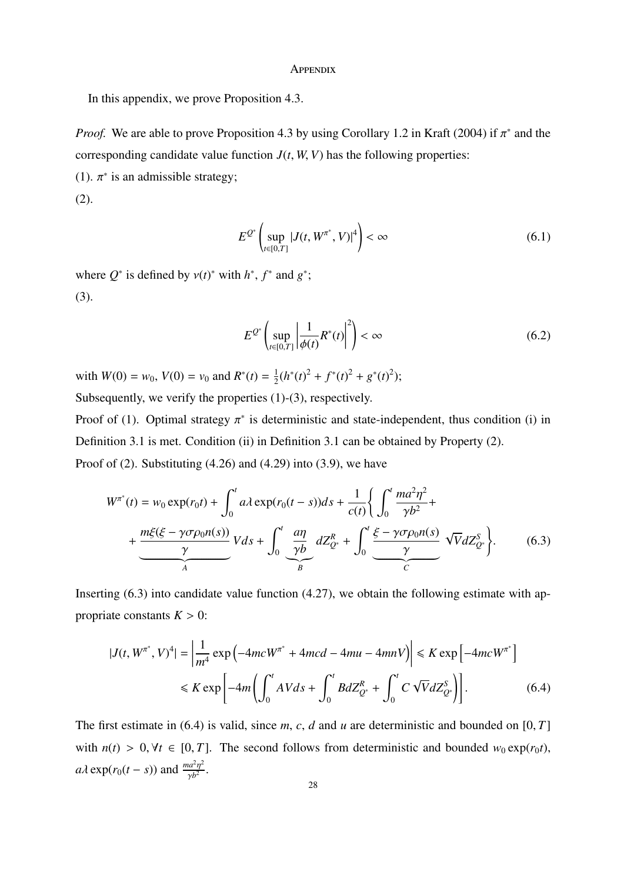#### **APPENDIX**

In this appendix, we prove Proposition 4.3.

*Proof.* We are able to prove Proposition 4.3 by using Corollary 1.2 in Kraft (2004) if  $\pi^*$  and the corresponding candidate value function  $J(t, W, V)$  has the following properties: (1).  $\pi^*$  is an admissible strategy; (2).

$$
E^{\mathcal{Q}^*}\left(\sup_{t\in[0,T]}|J(t,W^{\pi^*},V)|^4\right)<\infty\tag{6.1}
$$

where  $Q^*$  is defined by  $v(t)^*$  with  $h^*$ ,  $f^*$  and  $g^*$ ; (3).

$$
E^{\mathcal{Q}^*}\left(\sup_{t\in[0,T]}\left|\frac{1}{\phi(t)}R^*(t)\right|^2\right)<\infty\tag{6.2}
$$

with  $W(0) = w_0$ ,  $V(0) = v_0$  and  $R^*(t) = \frac{1}{2}$  $\frac{1}{2}(h^*(t)^2 + f^*(t)^2 + g^*(t)^2);$ Subsequently, we verify the properties (1)-(3), respectively.

Proof of (1). Optimal strategy  $\pi^*$  is deterministic and state-independent, thus condition (i) in Definition 3.1 is met. Condition (ii) in Definition 3.1 can be obtained by Property (2). Proof of  $(2)$ . Substituting  $(4.26)$  and  $(4.29)$  into  $(3.9)$ , we have

$$
W^{\pi^*}(t) = w_0 \exp(r_0 t) + \int_0^t a\lambda \exp(r_0(t-s))ds + \frac{1}{c(t)} \left\{ \int_0^t \frac{ma^2 \eta^2}{\gamma b^2} + \frac{m\xi(\xi - \gamma \sigma \rho_0 n(s))}{\gamma} V ds + \int_0^t \underbrace{\frac{a\eta}{\gamma b}}_{B} dZ_{Q^*}^R + \int_0^t \underbrace{\frac{\xi - \gamma \sigma \rho_0 n(s)}{\gamma}}_{C} \sqrt{V} dZ_{Q^*}^S \right\}.
$$
 (6.3)

Inserting (6.3) into candidate value function (4.27), we obtain the following estimate with appropriate constants  $K > 0$ :

$$
|J(t, W^{\pi^*}, V)^4| = \left| \frac{1}{m^4} \exp\left(-4mcW^{\pi^*} + 4mcd - 4mu - 4mnV\right) \right| \le K \exp\left[-4mcW^{\pi^*}\right]
$$
  

$$
\le K \exp\left[-4m\left(\int_0^t AVds + \int_0^t BdZ_{Q^*}^R + \int_0^t C\sqrt{V} dZ_{Q^*}^S\right)\right].
$$
 (6.4)

The first estimate in (6.4) is valid, since *m*, *c*, *d* and *u* are deterministic and bounded on [0, *T*] with  $n(t) > 0$ ,  $\forall t \in [0, T]$ . The second follows from deterministic and bounded  $w_0 \exp(r_0 t)$ ,  $a\lambda \exp(r_0(t-s))$  and  $\frac{ma^2\eta^2}{\gamma b^2}$  $rac{a^2\eta^2}{\gamma b^2}$ .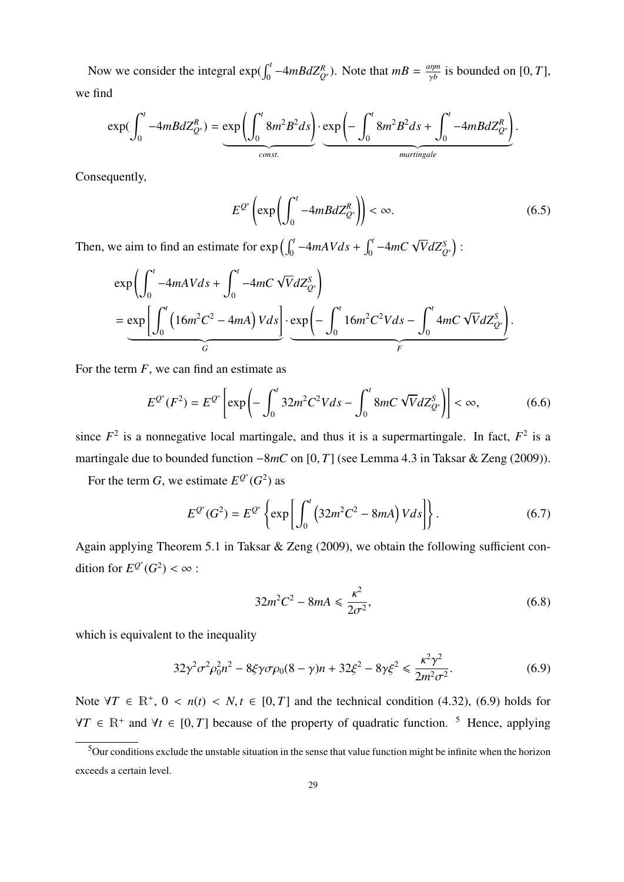Now we consider the integral  $exp(\int_0^t -4mBdZ_{Q^*}^R)$ . Note that  $mB = \frac{a\eta m}{\gamma b}$  $\frac{u_0}{\gamma b}$  is bounded on [0, *T*], we find

$$
\exp(\int_0^t -4mBdZ_{Q^*}^R) = \underbrace{\exp\left(\int_0^t 8m^2B^2ds\right)}_{const.} \cdot \underbrace{\exp\left(-\int_0^t 8m^2B^2ds + \int_0^t -4mBdZ_{Q^*}^R\right)}_{martingale}.
$$

Consequently,

$$
E^{Q^*}\left(\exp\left(\int_0^t -4mB dZ_{Q^*}^R\right)\right) < \infty. \tag{6.5}
$$

Then, we aim to find an estimate for  $exp\left(\int_0^t -4mAVds + \int_0^t -4mC\sqrt{V}dZ_{Q^*}^S\right)$ :

$$
\exp\left(\int_0^t -4mAVds + \int_0^t -4mC\sqrt{V}dZ_{Q^*}^S\right)
$$
  
= 
$$
\underbrace{\exp\left[\int_0^t \left(16m^2C^2 - 4mA\right)Vds\right]}_{G} \cdot \underbrace{\exp\left(-\int_0^t 16m^2C^2Vds - \int_0^t 4mC\sqrt{V}dZ_{Q^*}^S\right)}_{F}.
$$

For the term *F*, we can find an estimate as

$$
E^{Q^*}(F^2) = E^{Q^*} \left[ \exp\left(-\int_0^t 32m^2 C^2 V ds - \int_0^t 8m C \sqrt{V} dZ_{Q^*}^S \right) \right] < \infty, \tag{6.6}
$$

since  $F^2$  is a nonnegative local martingale, and thus it is a supermartingale. In fact,  $F^2$  is a martingale due to bounded function −8*mC* on [0, *T*] (see Lemma 4.3 in Taksar & Zeng (2009)).

For the term *G*, we estimate  $E^{Q^*}(G^2)$  as

$$
E^{Q^*}(G^2) = E^{Q^*} \left\{ \exp \left[ \int_0^t \left( 32m^2 C^2 - 8mA \right) V ds \right] \right\}.
$$
 (6.7)

Again applying Theorem 5.1 in Taksar & Zeng (2009), we obtain the following sufficient condition for  $E^{Q^*}(G^2) < \infty$ :

$$
32m^2C^2 - 8mA \le \frac{\kappa^2}{2\sigma^2},\tag{6.8}
$$

which is equivalent to the inequality

$$
32\gamma^2 \sigma^2 \rho_0^2 n^2 - 8\xi\gamma \sigma \rho_0 (8 - \gamma)n + 32\xi^2 - 8\gamma \xi^2 \le \frac{\kappa^2 \gamma^2}{2m^2 \sigma^2}.
$$
 (6.9)

Note  $\forall T \in \mathbb{R}^+, 0 < n(t) < N, t \in [0, T]$  and the technical condition (4.32), (6.9) holds for  $\forall T \in \mathbb{R}^+$  and  $\forall t \in [0, T]$  because of the property of quadratic function. <sup>5</sup> Hence, applying

<sup>5</sup>Our conditions exclude the unstable situation in the sense that value function might be infinite when the horizon exceeds a certain level.